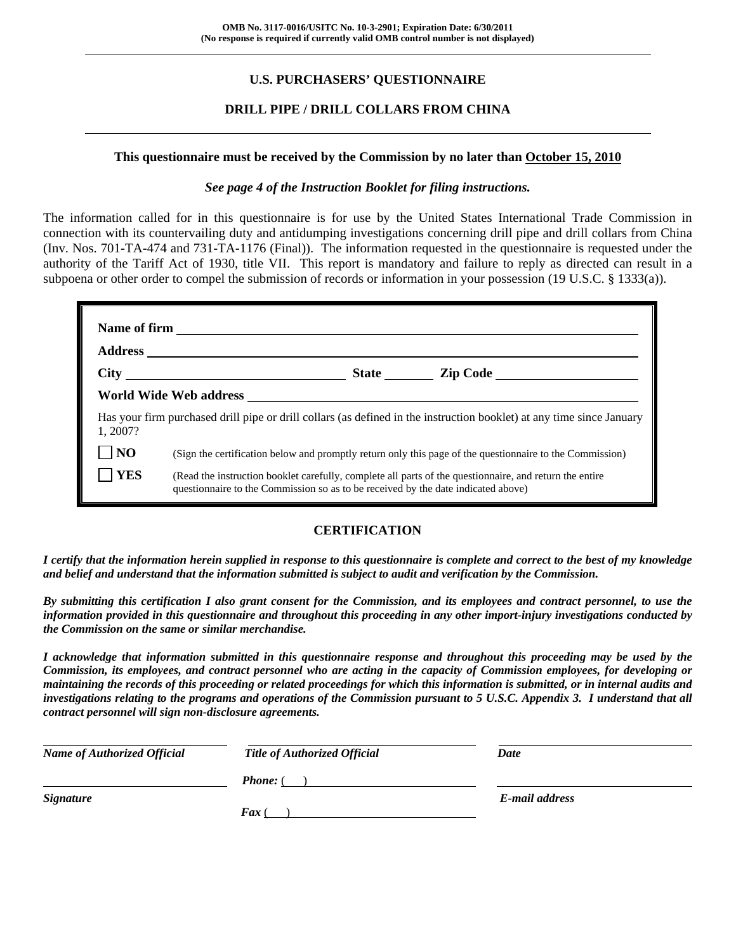## **U.S. PURCHASERS' QUESTIONNAIRE**

## **DRILL PIPE / DRILL COLLARS FROM CHINA**

#### **This questionnaire must be received by the Commission by no later than October 15, 2010**

#### *See page 4 of the Instruction Booklet for filing instructions.*

The information called for in this questionnaire is for use by the United States International Trade Commission in connection with its countervailing duty and antidumping investigations concerning drill pipe and drill collars from China (Inv. Nos. 701-TA-474 and 731-TA-1176 (Final)). The information requested in the questionnaire is requested under the authority of the Tariff Act of 1930, title VII. This report is mandatory and failure to reply as directed can result in a subpoena or other order to compel the submission of records or information in your possession (19 U.S.C. § 1333(a)).

| 1.2007?    | Has your firm purchased drill pipe or drill collars (as defined in the instruction booklet) at any time since January                                                                        |  |  |  |  |  |  |  |
|------------|----------------------------------------------------------------------------------------------------------------------------------------------------------------------------------------------|--|--|--|--|--|--|--|
| <b>NO</b>  | (Sign the certification below and promptly return only this page of the questionnaire to the Commission)                                                                                     |  |  |  |  |  |  |  |
| <b>YES</b> | (Read the instruction booklet carefully, complete all parts of the questionnaire, and return the entire<br>questionnaire to the Commission so as to be received by the date indicated above) |  |  |  |  |  |  |  |

### **CERTIFICATION**

*I certify that the information herein supplied in response to this questionnaire is complete and correct to the best of my knowledge and belief and understand that the information submitted is subject to audit and verification by the Commission.* 

*By submitting this certification I also grant consent for the Commission, and its employees and contract personnel, to use the information provided in this questionnaire and throughout this proceeding in any other import-injury investigations conducted by the Commission on the same or similar merchandise.* 

*I acknowledge that information submitted in this questionnaire response and throughout this proceeding may be used by the Commission, its employees, and contract personnel who are acting in the capacity of Commission employees, for developing or maintaining the records of this proceeding or related proceedings for which this information is submitted, or in internal audits and investigations relating to the programs and operations of the Commission pursuant to 5 U.S.C. Appendix 3. I understand that all contract personnel will sign non-disclosure agreements.* 

| <b>Name of Authorized Official</b> | <b>Title of Authorized Official</b> | Date           |
|------------------------------------|-------------------------------------|----------------|
|                                    | <b>Phone:</b> (                     |                |
| <i><b>Signature</b></i>            |                                     | E-mail address |
|                                    | <b>Fax</b> (                        |                |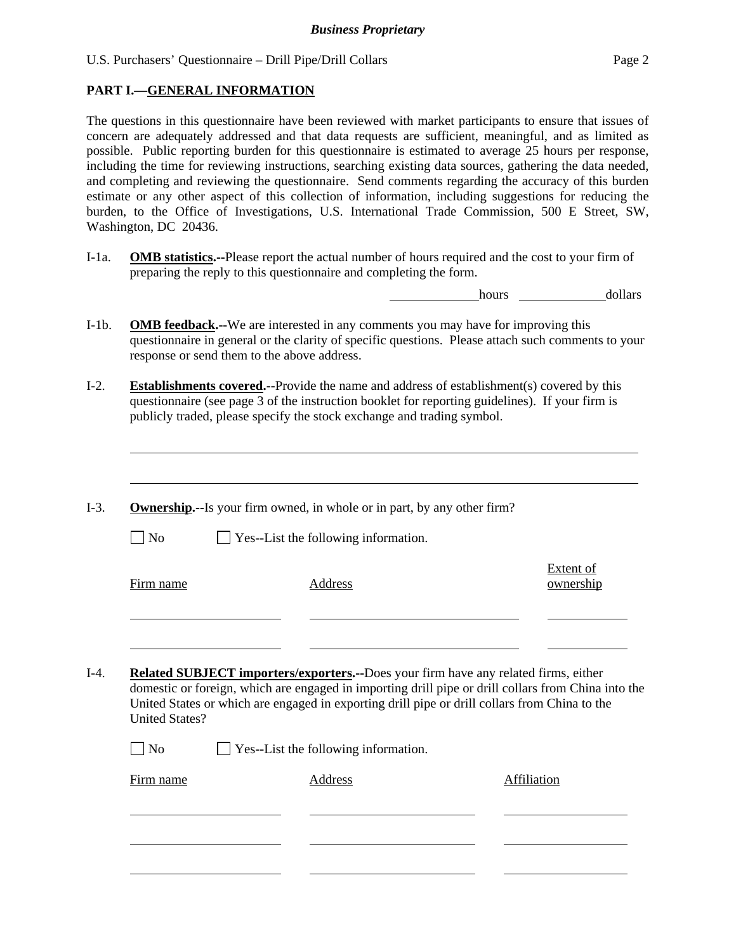### **PART I.—GENERAL INFORMATION**

 $\overline{a}$ 

The questions in this questionnaire have been reviewed with market participants to ensure that issues of concern are adequately addressed and that data requests are sufficient, meaningful, and as limited as possible. Public reporting burden for this questionnaire is estimated to average 25 hours per response, including the time for reviewing instructions, searching existing data sources, gathering the data needed, and completing and reviewing the questionnaire. Send comments regarding the accuracy of this burden estimate or any other aspect of this collection of information, including suggestions for reducing the burden, to the Office of Investigations, U.S. International Trade Commission, 500 E Street, SW, Washington, DC 20436.

I-1a. **OMB statistics.--**Please report the actual number of hours required and the cost to your firm of preparing the reply to this questionnaire and completing the form.

hours hours dollars

- I-1b. **OMB feedback.--**We are interested in any comments you may have for improving this questionnaire in general or the clarity of specific questions. Please attach such comments to your response or send them to the above address.
- I-2. **Establishments covered.--**Provide the name and address of establishment(s) covered by this questionnaire (see page 3 of the instruction booklet for reporting guidelines). If your firm is publicly traded, please specify the stock exchange and trading symbol.
- I-3. **Ownership.--**Is your firm owned, in whole or in part, by any other firm?  $\Box$  No  $\Box$  Yes--List the following information. Firm name Address Extent of ownership l l I-4. **Related SUBJECT importers/exporters.--**Does your firm have any related firms, either domestic or foreign, which are engaged in importing drill pipe or drill collars from China into the United States or which are engaged in exporting drill pipe or drill collars from China to the United States?  $\Box$  No  $\Box$  Yes--List the following information. Firm name Address Address Address Affiliation  $\overline{a}$ l l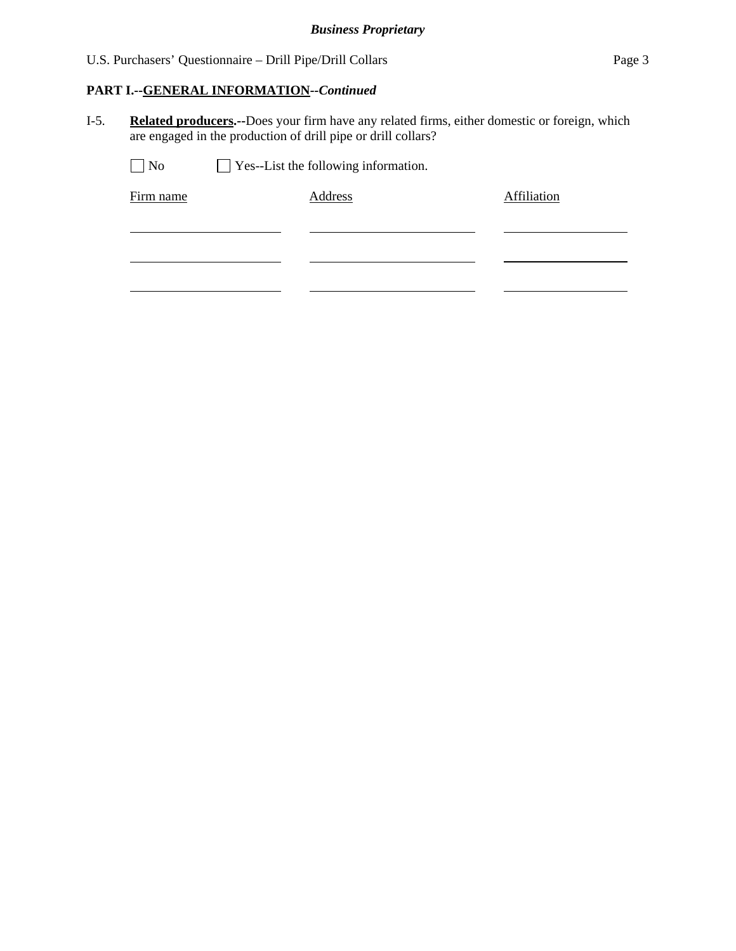## **PART I.--GENERAL INFORMATION***--Continued*

I-5. **Related producers.--**Does your firm have any related firms, either domestic or foreign, which are engaged in the production of drill pipe or drill collars?

| No<br>$\mathbf{I}$ | $\Box$ Yes--List the following information. |             |  |  |  |  |
|--------------------|---------------------------------------------|-------------|--|--|--|--|
| Firm name          | Address                                     | Affiliation |  |  |  |  |
|                    |                                             |             |  |  |  |  |
|                    |                                             |             |  |  |  |  |
|                    |                                             |             |  |  |  |  |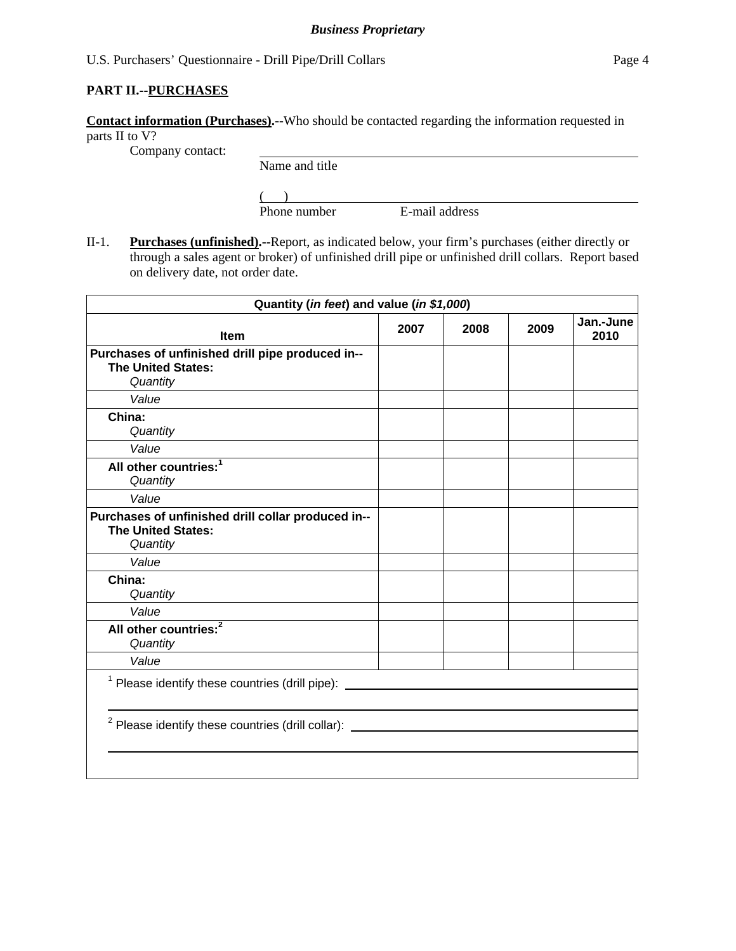### **PART II.--PURCHASES**

**Contact information (Purchases).--**Who should be contacted regarding the information requested in parts II to V?

Company contact:

Name and title

 $($ 

Phone number E-mail address

II-1. **Purchases (unfinished).--**Report, as indicated below, your firm's purchases (either directly or through a sales agent or broker) of unfinished drill pipe or unfinished drill collars. Report based on delivery date, not order date.

| Quantity (in feet) and value (in \$1,000)                                                    |      |      |      |                   |
|----------------------------------------------------------------------------------------------|------|------|------|-------------------|
| Item                                                                                         | 2007 | 2008 | 2009 | Jan.-June<br>2010 |
| Purchases of unfinished drill pipe produced in--<br><b>The United States:</b><br>Quantity    |      |      |      |                   |
| Value                                                                                        |      |      |      |                   |
| China:<br>Quantity                                                                           |      |      |      |                   |
| Value                                                                                        |      |      |      |                   |
| All other countries: <sup>1</sup><br>Quantity                                                |      |      |      |                   |
| Value                                                                                        |      |      |      |                   |
| Purchases of unfinished drill collar produced in--<br><b>The United States:</b><br>Quantity  |      |      |      |                   |
| Value                                                                                        |      |      |      |                   |
| China:<br>Quantity                                                                           |      |      |      |                   |
| Value                                                                                        |      |      |      |                   |
| All other countries: <sup>2</sup><br>Quantity                                                |      |      |      |                   |
| Value                                                                                        |      |      |      |                   |
| <sup>1</sup> Please identify these countries (drill pipe): _________________________________ |      |      |      |                   |
| <sup>2</sup> Please identify these countries (drill collar):                                 |      |      |      |                   |
|                                                                                              |      |      |      |                   |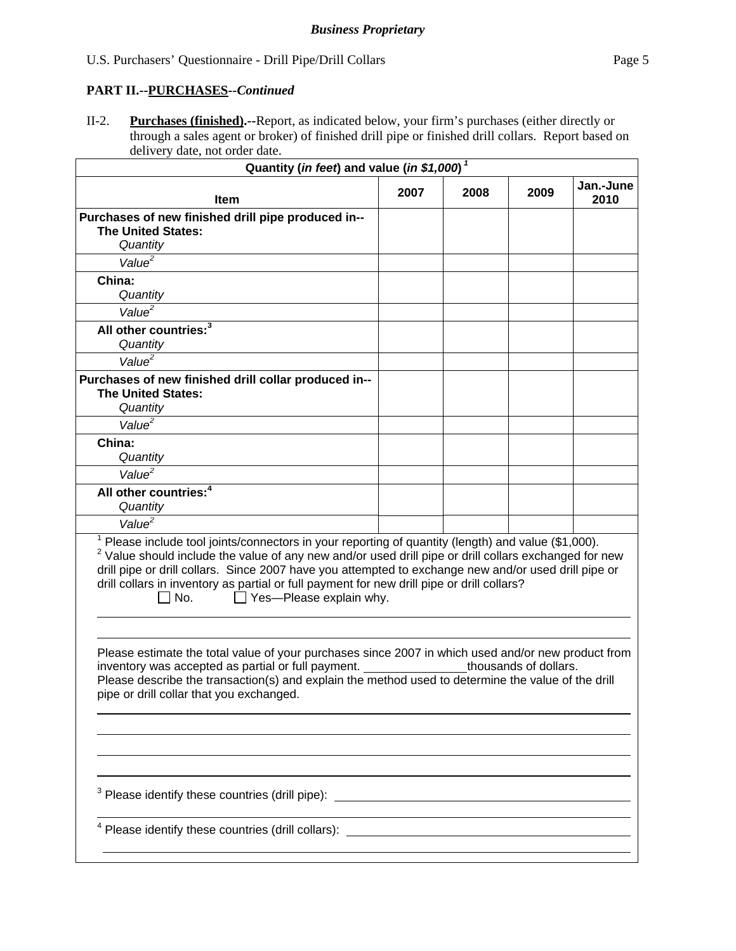## **PART II.--PURCHASES***--Continued*

II-2. **Purchases (finished).--**Report, as indicated below, your firm's purchases (either directly or through a sales agent or broker) of finished drill pipe or finished drill collars. Report based on delivery date, not order date.

| Quantity (in feet) and value (in \$1,000) <sup>1</sup>                                                                                                                                                                                                                                                                                                                                                                                                       |      |      |                       |                   |
|--------------------------------------------------------------------------------------------------------------------------------------------------------------------------------------------------------------------------------------------------------------------------------------------------------------------------------------------------------------------------------------------------------------------------------------------------------------|------|------|-----------------------|-------------------|
| Item                                                                                                                                                                                                                                                                                                                                                                                                                                                         | 2007 | 2008 | 2009                  | Jan.-June<br>2010 |
| Purchases of new finished drill pipe produced in--<br><b>The United States:</b><br>Quantity                                                                                                                                                                                                                                                                                                                                                                  |      |      |                       |                   |
| Value <sup>2</sup>                                                                                                                                                                                                                                                                                                                                                                                                                                           |      |      |                       |                   |
| China:<br>Quantity                                                                                                                                                                                                                                                                                                                                                                                                                                           |      |      |                       |                   |
| Value <sup>2</sup>                                                                                                                                                                                                                                                                                                                                                                                                                                           |      |      |                       |                   |
| All other countries: <sup>3</sup><br>Quantity                                                                                                                                                                                                                                                                                                                                                                                                                |      |      |                       |                   |
| Value <sup>2</sup>                                                                                                                                                                                                                                                                                                                                                                                                                                           |      |      |                       |                   |
| Purchases of new finished drill collar produced in--<br><b>The United States:</b><br>Quantity                                                                                                                                                                                                                                                                                                                                                                |      |      |                       |                   |
| Value <sup>2</sup>                                                                                                                                                                                                                                                                                                                                                                                                                                           |      |      |                       |                   |
| China:<br>Quantity                                                                                                                                                                                                                                                                                                                                                                                                                                           |      |      |                       |                   |
| Value <sup>2</sup>                                                                                                                                                                                                                                                                                                                                                                                                                                           |      |      |                       |                   |
| All other countries: <sup>4</sup><br>Quantity                                                                                                                                                                                                                                                                                                                                                                                                                |      |      |                       |                   |
| Value <sup>2</sup>                                                                                                                                                                                                                                                                                                                                                                                                                                           |      |      |                       |                   |
| Please include tool joints/connectors in your reporting of quantity (length) and value (\$1,000).<br>$2$ Value should include the value of any new and/or used drill pipe or drill collars exchanged for new<br>drill pipe or drill collars. Since 2007 have you attempted to exchange new and/or used drill pipe or<br>drill collars in inventory as partial or full payment for new drill pipe or drill collars?<br>$\Box$ Yes--Please explain why.<br>No. |      |      |                       |                   |
| Please estimate the total value of your purchases since 2007 in which used and/or new product from<br>inventory was accepted as partial or full payment.<br>Please describe the transaction(s) and explain the method used to determine the value of the drill<br>pipe or drill collar that you exchanged.                                                                                                                                                   |      |      | thousands of dollars. |                   |
|                                                                                                                                                                                                                                                                                                                                                                                                                                                              |      |      |                       |                   |
|                                                                                                                                                                                                                                                                                                                                                                                                                                                              |      |      |                       |                   |
| <sup>3</sup> Please identify these countries (drill pipe): _________________________________                                                                                                                                                                                                                                                                                                                                                                 |      |      |                       |                   |
|                                                                                                                                                                                                                                                                                                                                                                                                                                                              |      |      |                       |                   |
|                                                                                                                                                                                                                                                                                                                                                                                                                                                              |      |      |                       |                   |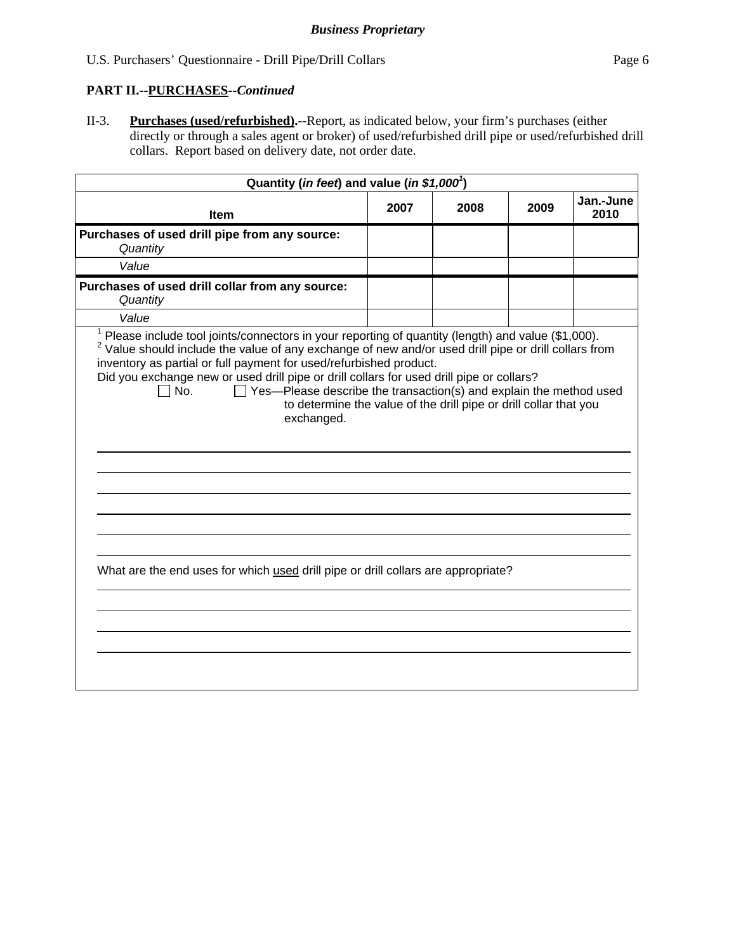## **PART II.--PURCHASES***--Continued*

II-3. **Purchases (used/refurbished).--**Report, as indicated below, your firm's purchases (either directly or through a sales agent or broker) of used/refurbished drill pipe or used/refurbished drill collars. Report based on delivery date, not order date.

| Quantity (in feet) and value (in \$1,000 <sup>1</sup> )                                                                                                                                                                                                                                                                                                                                                                                                                                                                                                                                                                                                 |  |  |  |  |  |  |
|---------------------------------------------------------------------------------------------------------------------------------------------------------------------------------------------------------------------------------------------------------------------------------------------------------------------------------------------------------------------------------------------------------------------------------------------------------------------------------------------------------------------------------------------------------------------------------------------------------------------------------------------------------|--|--|--|--|--|--|
| Jan.-June<br>2007<br>2008<br>2009<br>2010<br><b>Item</b>                                                                                                                                                                                                                                                                                                                                                                                                                                                                                                                                                                                                |  |  |  |  |  |  |
| Purchases of used drill pipe from any source:<br>Quantity                                                                                                                                                                                                                                                                                                                                                                                                                                                                                                                                                                                               |  |  |  |  |  |  |
| Value                                                                                                                                                                                                                                                                                                                                                                                                                                                                                                                                                                                                                                                   |  |  |  |  |  |  |
| Purchases of used drill collar from any source:<br>Quantity                                                                                                                                                                                                                                                                                                                                                                                                                                                                                                                                                                                             |  |  |  |  |  |  |
| Value                                                                                                                                                                                                                                                                                                                                                                                                                                                                                                                                                                                                                                                   |  |  |  |  |  |  |
| $1$ Please include tool joints/connectors in your reporting of quantity (length) and value (\$1,000).<br><sup>2</sup> Value should include the value of any exchange of new and/or used drill pipe or drill collars from<br>inventory as partial or full payment for used/refurbished product.<br>Did you exchange new or used drill pipe or drill collars for used drill pipe or collars?<br>$\Box$ Yes—Please describe the transaction(s) and explain the method used<br>∃No.<br>to determine the value of the drill pipe or drill collar that you<br>exchanged.<br>What are the end uses for which used drill pipe or drill collars are appropriate? |  |  |  |  |  |  |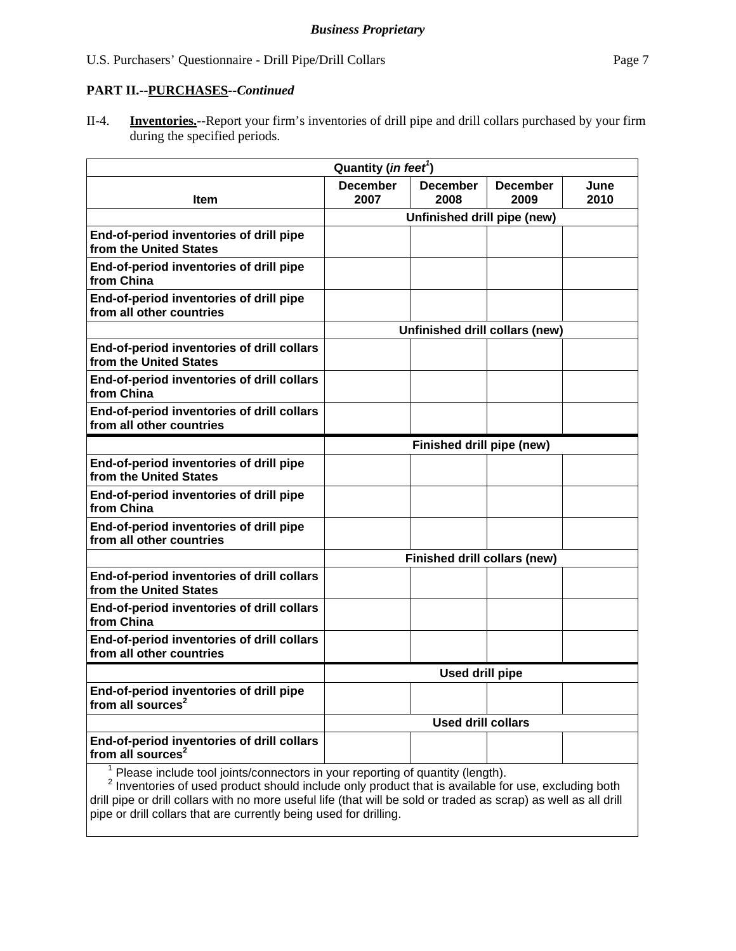#### **PART II.--PURCHASES***--Continued*

II-4. **Inventories.--**Report your firm's inventories of drill pipe and drill collars purchased by your firm during the specified periods.

| Quantity ( <i>in feet<sup>1</sup></i> )                                                                                                                                                                       |                           |                              |                                |              |
|---------------------------------------------------------------------------------------------------------------------------------------------------------------------------------------------------------------|---------------------------|------------------------------|--------------------------------|--------------|
| <b>Item</b>                                                                                                                                                                                                   | <b>December</b><br>2007   | <b>December</b><br>2008      | <b>December</b><br>2009        | June<br>2010 |
|                                                                                                                                                                                                               |                           | Unfinished drill pipe (new)  |                                |              |
| End-of-period inventories of drill pipe<br>from the United States                                                                                                                                             |                           |                              |                                |              |
| End-of-period inventories of drill pipe<br>from China                                                                                                                                                         |                           |                              |                                |              |
| End-of-period inventories of drill pipe<br>from all other countries                                                                                                                                           |                           |                              |                                |              |
|                                                                                                                                                                                                               |                           |                              | Unfinished drill collars (new) |              |
| End-of-period inventories of drill collars<br>from the United States                                                                                                                                          |                           |                              |                                |              |
| End-of-period inventories of drill collars<br>from China                                                                                                                                                      |                           |                              |                                |              |
| End-of-period inventories of drill collars<br>from all other countries                                                                                                                                        |                           |                              |                                |              |
|                                                                                                                                                                                                               | Finished drill pipe (new) |                              |                                |              |
| End-of-period inventories of drill pipe<br>from the United States                                                                                                                                             |                           |                              |                                |              |
| End-of-period inventories of drill pipe<br>from China                                                                                                                                                         |                           |                              |                                |              |
| End-of-period inventories of drill pipe<br>from all other countries                                                                                                                                           |                           |                              |                                |              |
|                                                                                                                                                                                                               |                           | Finished drill collars (new) |                                |              |
| End-of-period inventories of drill collars<br>from the United States                                                                                                                                          |                           |                              |                                |              |
| End-of-period inventories of drill collars<br>from China                                                                                                                                                      |                           |                              |                                |              |
| End-of-period inventories of drill collars<br>from all other countries                                                                                                                                        |                           |                              |                                |              |
|                                                                                                                                                                                                               | <b>Used drill pipe</b>    |                              |                                |              |
| End-of-period inventories of drill pipe<br>from all sources <sup>2</sup>                                                                                                                                      |                           |                              |                                |              |
|                                                                                                                                                                                                               | <b>Used drill collars</b> |                              |                                |              |
| End-of-period inventories of drill collars<br>from all sources <sup>2</sup>                                                                                                                                   |                           |                              |                                |              |
| $\frac{1}{1}$ Please include tool joints/connectors in your reporting of quantity (length).<br><sup>2</sup> Inventories of used product should include only product that is available for use, excluding both |                           |                              |                                |              |

drill pipe or drill collars with no more useful life (that will be sold or traded as scrap) as well as all drill pipe or drill collars that are currently being used for drilling.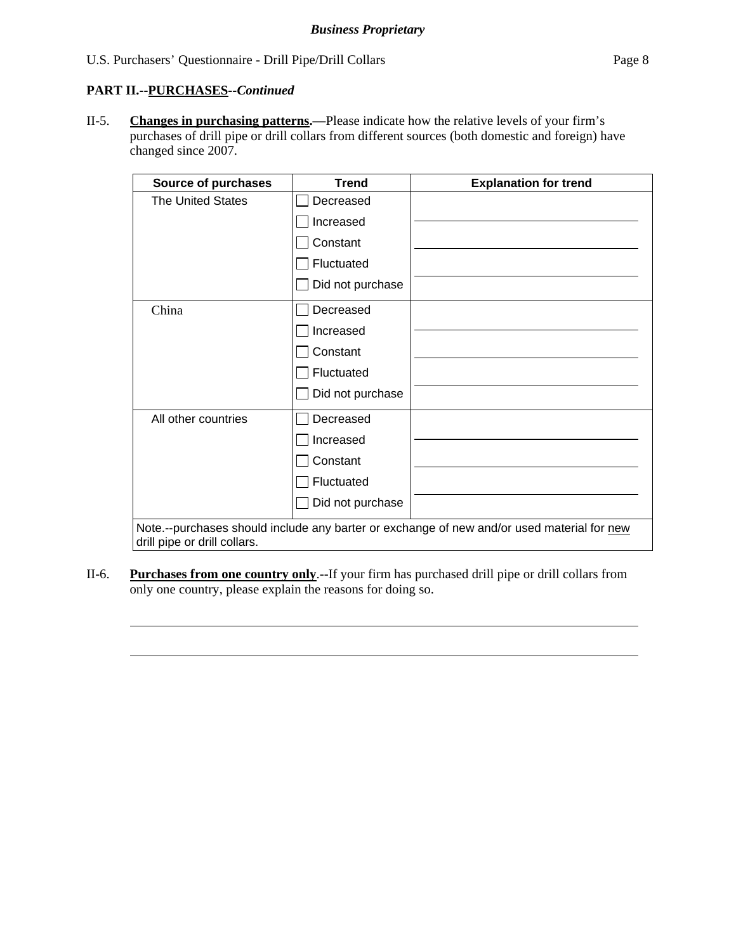### **PART II.--PURCHASES***--Continued*

 $\overline{a}$ 

 $\overline{a}$ 

II-5. **Changes in purchasing patterns.—**Please indicate how the relative levels of your firm's purchases of drill pipe or drill collars from different sources (both domestic and foreign) have changed since 2007.

| <b>Source of purchases</b>   | <b>Trend</b>     | <b>Explanation for trend</b>                                                               |
|------------------------------|------------------|--------------------------------------------------------------------------------------------|
| <b>The United States</b>     | Decreased        |                                                                                            |
|                              | Increased        |                                                                                            |
|                              | Constant         |                                                                                            |
|                              | Fluctuated       |                                                                                            |
|                              | Did not purchase |                                                                                            |
| China                        | Decreased        |                                                                                            |
|                              | Increased        |                                                                                            |
|                              | Constant         |                                                                                            |
|                              | Fluctuated       |                                                                                            |
|                              | Did not purchase |                                                                                            |
| All other countries          | Decreased        |                                                                                            |
|                              | Increased        |                                                                                            |
|                              | Constant         |                                                                                            |
|                              | Fluctuated       |                                                                                            |
|                              | Did not purchase |                                                                                            |
| drill pipe or drill collars. |                  | Note.--purchases should include any barter or exchange of new and/or used material for new |

II-6. **Purchases from one country only**.--If your firm has purchased drill pipe or drill collars from only one country, please explain the reasons for doing so.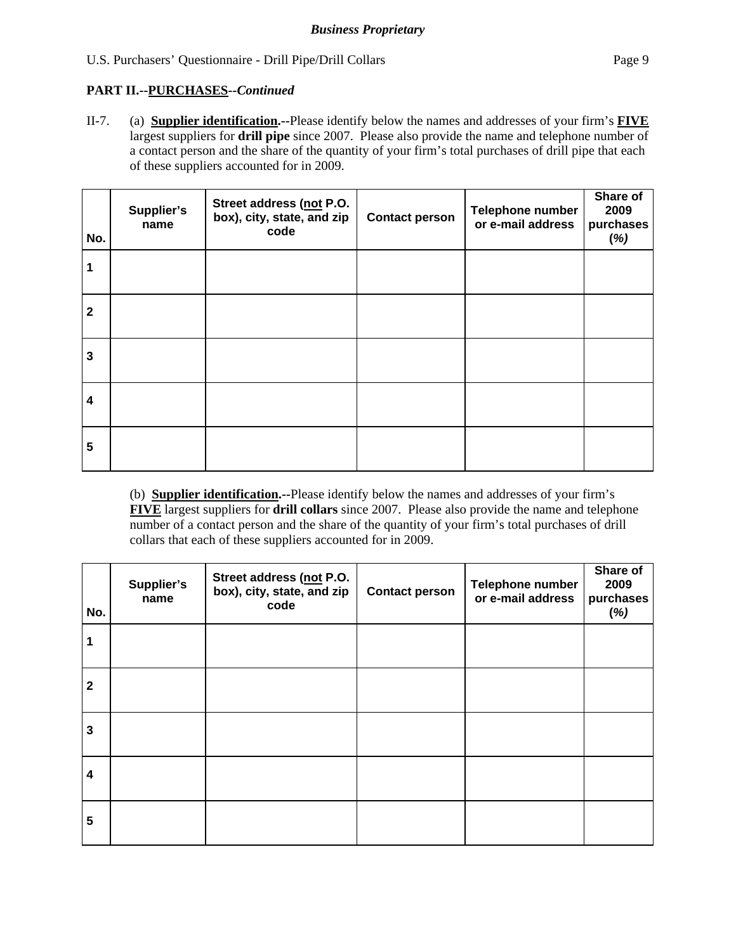## **PART II.--PURCHASES***--Continued*

II-7. (a) **Supplier identification.--**Please identify below the names and addresses of your firm's **FIVE** largest suppliers for **drill pipe** since 2007. Please also provide the name and telephone number of a contact person and the share of the quantity of your firm's total purchases of drill pipe that each of these suppliers accounted for in 2009.

| No.             | Supplier's<br>name | Street address (not P.O.<br>box), city, state, and zip<br>code | <b>Contact person</b> | Telephone number<br>or e-mail address | Share of<br>2009<br>purchases<br>(%) |
|-----------------|--------------------|----------------------------------------------------------------|-----------------------|---------------------------------------|--------------------------------------|
|                 |                    |                                                                |                       |                                       |                                      |
| $\mathbf{2}$    |                    |                                                                |                       |                                       |                                      |
| 3               |                    |                                                                |                       |                                       |                                      |
| 4               |                    |                                                                |                       |                                       |                                      |
| $5\phantom{.0}$ |                    |                                                                |                       |                                       |                                      |

 (b) **Supplier identification.--**Please identify below the names and addresses of your firm's **FIVE** largest suppliers for **drill collars** since 2007. Please also provide the name and telephone number of a contact person and the share of the quantity of your firm's total purchases of drill collars that each of these suppliers accounted for in 2009.

| No.                     | Supplier's<br>name | Street address (not P.O.<br>box), city, state, and zip<br>code | <b>Contact person</b> | Telephone number<br>or e-mail address | Share of<br>2009<br>purchases<br>(%) |
|-------------------------|--------------------|----------------------------------------------------------------|-----------------------|---------------------------------------|--------------------------------------|
| 1                       |                    |                                                                |                       |                                       |                                      |
| $\overline{2}$          |                    |                                                                |                       |                                       |                                      |
| $\mathbf{3}$            |                    |                                                                |                       |                                       |                                      |
| $\overline{\mathbf{4}}$ |                    |                                                                |                       |                                       |                                      |
| 5                       |                    |                                                                |                       |                                       |                                      |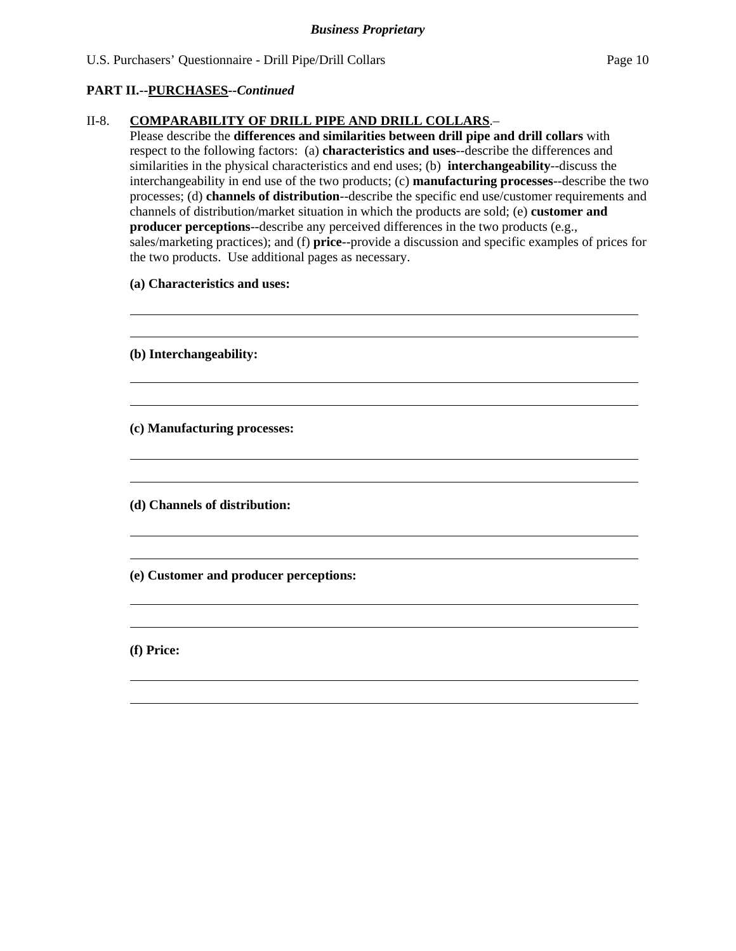## **PART II.--PURCHASES***--Continued*

## II-8. **COMPARABILITY OF DRILL PIPE AND DRILL COLLARS**.–

Please describe the **differences and similarities between drill pipe and drill collars** with respect to the following factors: (a) **characteristics and uses**--describe the differences and similarities in the physical characteristics and end uses; (b) **interchangeability**--discuss the interchangeability in end use of the two products; (c) **manufacturing processes**--describe the two processes; (d) **channels of distribution**--describe the specific end use/customer requirements and channels of distribution/market situation in which the products are sold; (e) **customer and producer perceptions-**-describe any perceived differences in the two products (e.g., sales/marketing practices); and (f) **price**--provide a discussion and specific examples of prices for the two products. Use additional pages as necessary.

 **(a) Characteristics and uses:** 

 **(b) Interchangeability:** 

 **(c) Manufacturing processes:** 

 **(d) Channels of distribution:** 

 **(e) Customer and producer perceptions:** 

 **(f) Price:**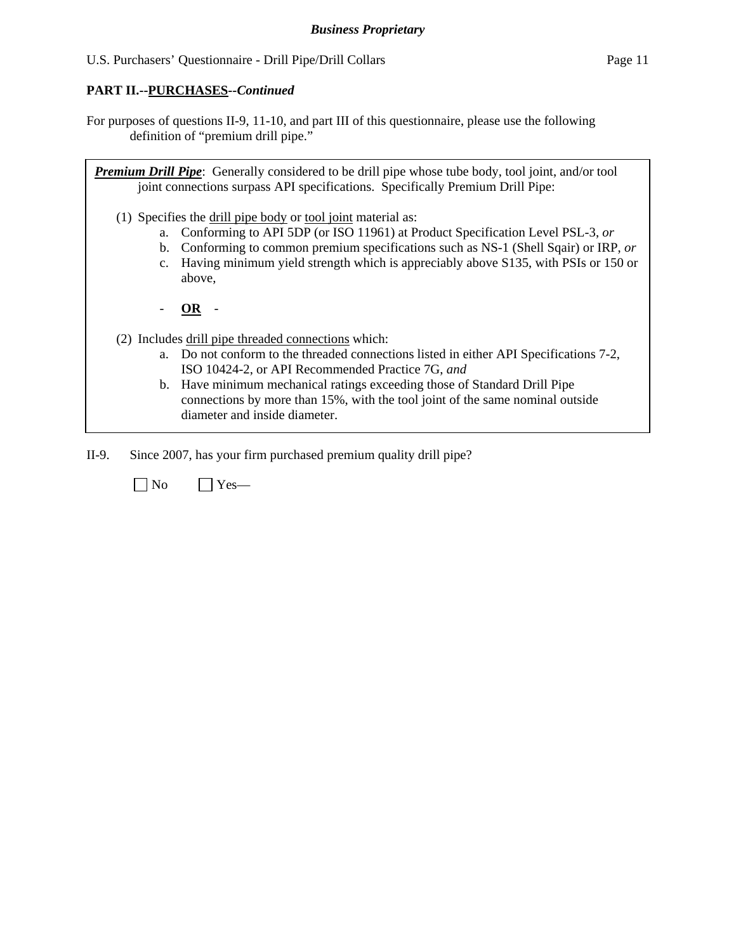## **PART II.--PURCHASES***--Continued*

For purposes of questions II-9, 11-10, and part III of this questionnaire, please use the following definition of "premium drill pipe."

*Premium Drill Pipe*: Generally considered to be drill pipe whose tube body, tool joint, and/or tool joint connections surpass API specifications. Specifically Premium Drill Pipe: (1) Specifies the drill pipe body or tool joint material as: a. Conforming to API 5DP (or ISO 11961) at Product Specification Level PSL-3, *or* b. Conforming to common premium specifications such as NS-1 (Shell Sqair) or IRP, *or* c. Having minimum yield strength which is appreciably above S135, with PSIs or 150 or above, - **OR** - (2) Includes drill pipe threaded connections which: a. Do not conform to the threaded connections listed in either API Specifications 7-2, ISO 10424-2, or API Recommended Practice 7G, *and* b. Have minimum mechanical ratings exceeding those of Standard Drill Pipe connections by more than 15%, with the tool joint of the same nominal outside diameter and inside diameter.

II-9. Since 2007, has your firm purchased premium quality drill pipe?

 $\neg$  No  $\neg$  Yes—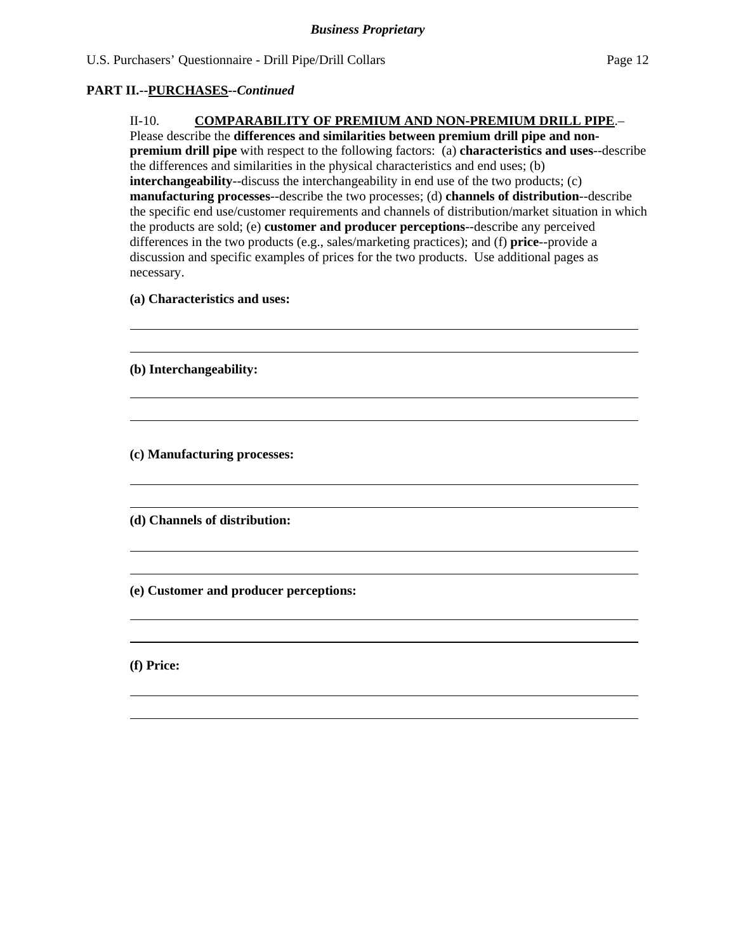### **PART II.--PURCHASES***--Continued*

II-10. **COMPARABILITY OF PREMIUM AND NON-PREMIUM DRILL PIPE**.– Please describe the **differences and similarities between premium drill pipe and nonpremium drill pipe** with respect to the following factors: (a) **characteristics and uses**--describe the differences and similarities in the physical characteristics and end uses; (b) **interchangeability**--discuss the interchangeability in end use of the two products; (c) **manufacturing processes**--describe the two processes; (d) **channels of distribution**--describe the specific end use/customer requirements and channels of distribution/market situation in which the products are sold; (e) **customer and producer perceptions**--describe any perceived differences in the two products (e.g., sales/marketing practices); and (f) **price**--provide a discussion and specific examples of prices for the two products. Use additional pages as necessary.

 **(a) Characteristics and uses:** 

 **(b) Interchangeability:** 

 **(c) Manufacturing processes:** 

 **(d) Channels of distribution:** 

 **(e) Customer and producer perceptions:** 

 **(f) Price:**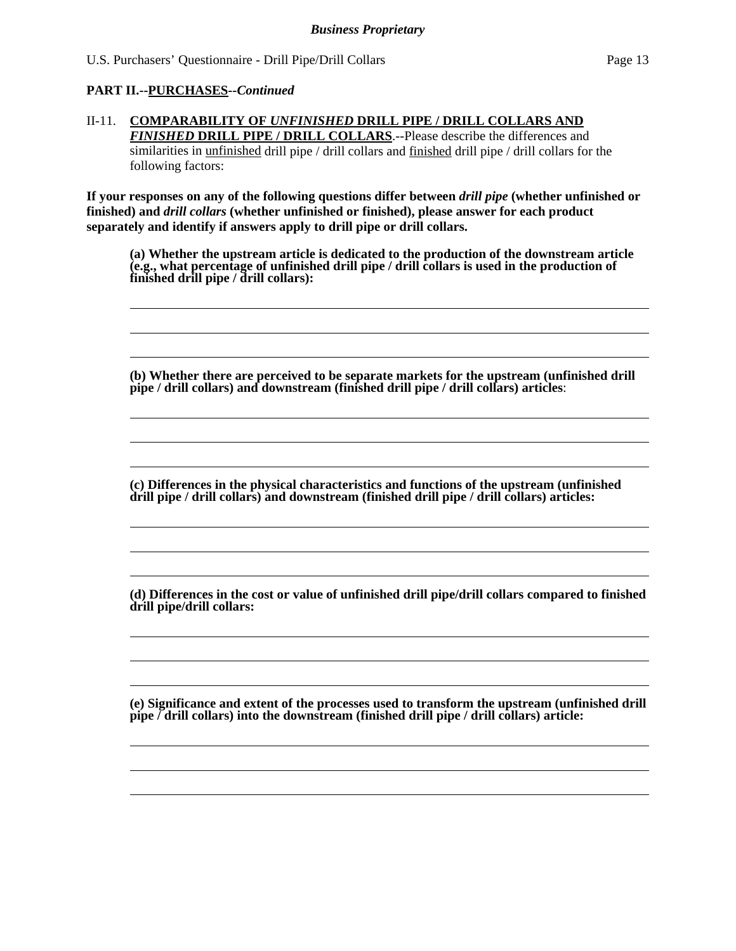### **PART II.--PURCHASES***--Continued*

### II-11. **COMPARABILITY OF** *UNFINISHED* **DRILL PIPE / DRILL COLLARS AND**  *FINISHED* **DRILL PIPE / DRILL COLLARS**.--Please describe the differences and similarities in unfinished drill pipe / drill collars and finished drill pipe / drill collars for the following factors:

**If your responses on any of the following questions differ between** *drill pipe* **(whether unfinished or finished) and** *drill collars* **(whether unfinished or finished), please answer for each product separately and identify if answers apply to drill pipe or drill collars.** 

**(a) Whether the upstream article is dedicated to the production of the downstream article (e.g., what percentage of unfinished drill pipe / drill collars is used in the production of finished drill pipe / drill collars):** 

**(b) Whether there are perceived to be separate markets for the upstream (unfinished drill pipe / drill collars) and downstream (finished drill pipe / drill collars) articles**:

**(c) Differences in the physical characteristics and functions of the upstream (unfinished drill pipe / drill collars) and downstream (finished drill pipe / drill collars) articles:** 

**(d) Differences in the cost or value of unfinished drill pipe/drill collars compared to finished drill pipe/drill collars:** 

**(e) Significance and extent of the processes used to transform the upstream (unfinished drill pipe / drill collars) into the downstream (finished drill pipe / drill collars) article:**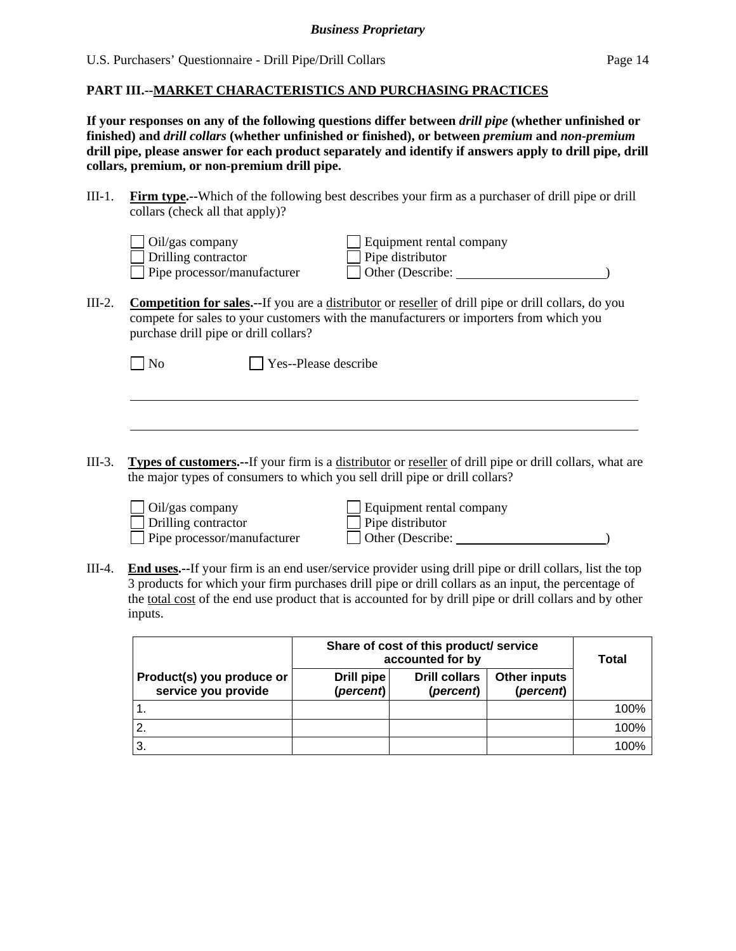### **PART III.--MARKET CHARACTERISTICS AND PURCHASING PRACTICES**

**If your responses on any of the following questions differ between** *drill pipe* **(whether unfinished or finished) and** *drill collars* **(whether unfinished or finished), or between** *premium* **and** *non-premium* **drill pipe, please answer for each product separately and identify if answers apply to drill pipe, drill collars, premium, or non-premium drill pipe.** 

III-1. **Firm type.--**Which of the following best describes your firm as a purchaser of drill pipe or drill collars (check all that apply)?

| $\Box$ Oil/gas company             |
|------------------------------------|
| $\Box$ Drilling contractor         |
| $\Box$ Pipe processor/manufacturer |

Equipment rental company Pipe distributor  $\Box$  Other (Describe:  $\Box$ )

III-2. **Competition for sales.--**If you are a distributor or reseller of drill pipe or drill collars, do you compete for sales to your customers with the manufacturers or importers from which you purchase drill pipe or drill collars?

 $\overline{a}$ 

No **Yes--Please describe** 

III-3. **Types of customers.--**If your firm is a distributor or reseller of drill pipe or drill collars, what are the major types of consumers to which you sell drill pipe or drill collars?

 $\Box$  Oil/gas company<br> $\Box$  Drilling contractor

Equipment rental company<br>Pipe distributor Pipe processor/manufacturer  $\Box$  Other (Describe: )

III-4. **End uses.--**If your firm is an end user/service provider using drill pipe or drill collars, list the top 3 products for which your firm purchases drill pipe or drill collars as an input, the percentage of the total cost of the end use product that is accounted for by drill pipe or drill collars and by other inputs.

|                                                  | Share of cost of this product/ service<br>accounted for by | Total                             |                           |      |
|--------------------------------------------------|------------------------------------------------------------|-----------------------------------|---------------------------|------|
| Product(s) you produce or<br>service you provide | Drill pipe<br>(percent)                                    | <b>Drill collars</b><br>(percent) | Other inputs<br>(percent) |      |
|                                                  |                                                            |                                   |                           | 100% |
|                                                  |                                                            |                                   |                           | 100% |
| 3.                                               |                                                            |                                   |                           | 100% |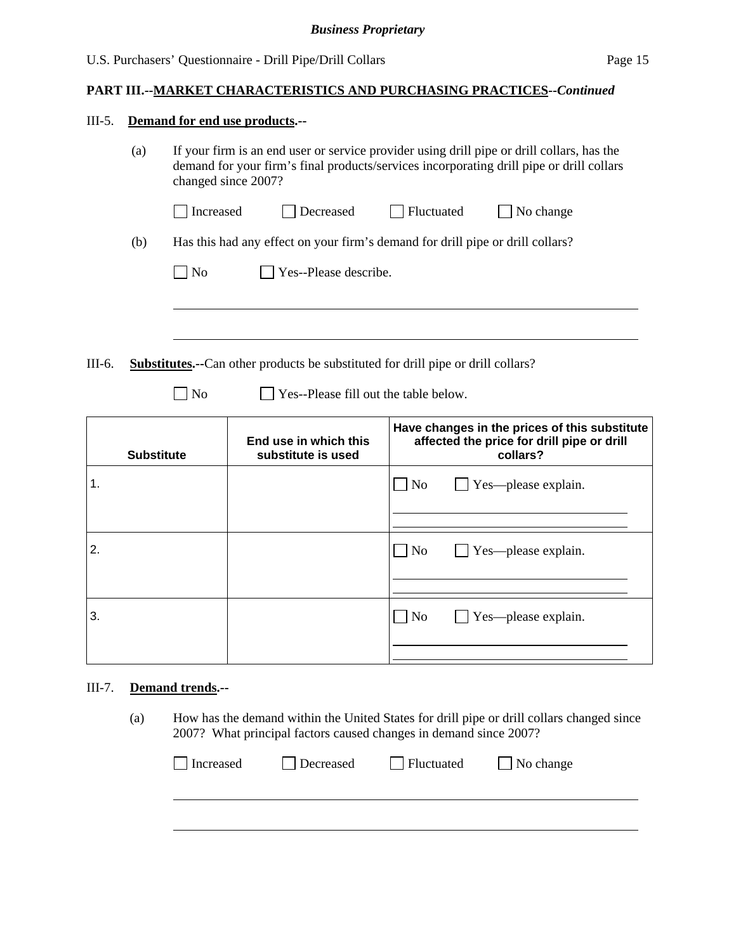### **PART III.--MARKET CHARACTERISTICS AND PURCHASING PRACTICES***--Continued*

#### III-5. **Demand for end use products.--**

| (a) | If your firm is an end user or service provider using drill pipe or drill collars, has the |
|-----|--------------------------------------------------------------------------------------------|
|     | demand for your firm's final products/services incorporating drill pipe or drill collars   |
|     | changed since 2007?                                                                        |

|     | Increased                                                                      | Decreased                     | Fluctuated | $\vert$ No change |  |  |  |
|-----|--------------------------------------------------------------------------------|-------------------------------|------------|-------------------|--|--|--|
| (b) | Has this had any effect on your firm's demand for drill pipe or drill collars? |                               |            |                   |  |  |  |
|     | $\Box$ No                                                                      | $\vert$ Yes--Please describe. |            |                   |  |  |  |

III-6. **Substitutes.--**Can other products be substituted for drill pipe or drill collars?

 $\overline{a}$ 

No Ses--Please fill out the table below.

| <b>Substitute</b> | End use in which this<br>substitute is used | Have changes in the prices of this substitute<br>affected the price for drill pipe or drill<br>collars? |  |  |
|-------------------|---------------------------------------------|---------------------------------------------------------------------------------------------------------|--|--|
| 1.                |                                             | $\Box$ Yes—please explain.<br>$\overline{\rm No}$                                                       |  |  |
|                   |                                             |                                                                                                         |  |  |
| 2.                |                                             | $\Box$ Yes—please explain.<br>$\overline{\rm No}$                                                       |  |  |
|                   |                                             |                                                                                                         |  |  |
| 3.                |                                             | $\Box$ Yes—please explain.<br>$\Box$ No                                                                 |  |  |
|                   |                                             |                                                                                                         |  |  |

## III-7. **Demand trends.--**

(a) How has the demand within the United States for drill pipe or drill collars changed since 2007? What principal factors caused changes in demand since 2007?

| Increased | Decreased | Fluctuated | $\Box$ No change |
|-----------|-----------|------------|------------------|
|           |           |            |                  |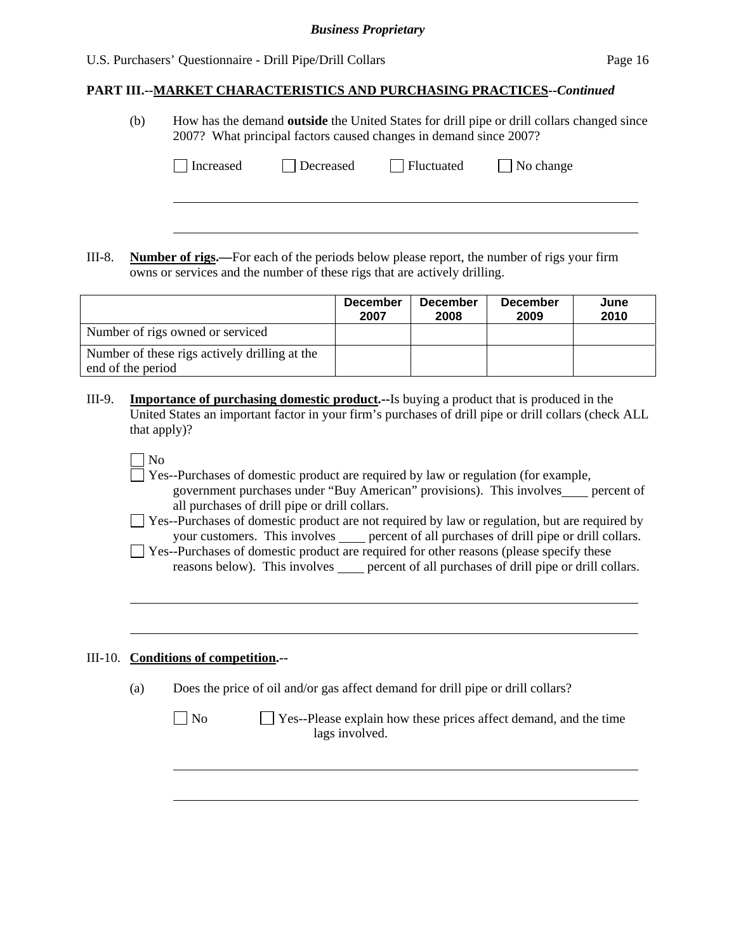### *Business Proprietary*

#### U.S. Purchasers' Questionnaire - Drill Pipe/Drill Collars Page 16

## **PART III.--MARKET CHARACTERISTICS AND PURCHASING PRACTICES***--Continued*

(b) How has the demand **outside** the United States for drill pipe or drill collars changed since 2007? What principal factors caused changes in demand since 2007?

| Increased | Decreased | $\Box$ Fluctuated | $\Box$ No change |  |
|-----------|-----------|-------------------|------------------|--|
|           |           |                   |                  |  |
|           |           |                   |                  |  |

III-8. **Number of rigs.—**For each of the periods below please report, the number of rigs your firm owns or services and the number of these rigs that are actively drilling.

|                                                                    | <b>December</b><br>2007 | <b>December</b><br>2008 | <b>December</b><br>2009 | June<br>2010 |
|--------------------------------------------------------------------|-------------------------|-------------------------|-------------------------|--------------|
| Number of rigs owned or serviced                                   |                         |                         |                         |              |
| Number of these rigs actively drilling at the<br>end of the period |                         |                         |                         |              |

- III-9. **Importance of purchasing domestic product.--**Is buying a product that is produced in the United States an important factor in your firm's purchases of drill pipe or drill collars (check ALL that apply)?
	- No

l

- Yes--Purchases of domestic product are required by law or regulation (for example, government purchases under "Buy American" provisions). This involves percent of all purchases of drill pipe or drill collars.
- □ Yes--Purchases of domestic product are not required by law or regulation, but are required by your customers. This involves <u>expected</u> percent of all purchases of drill pipe or drill collars.
- $\Box$  Yes--Purchases of domestic product are required for other reasons (please specify these reasons below). This involves percent of all purchases of drill pipe or drill collars.

### III-10. **Conditions of competition.--**

l

(a) Does the price of oil and/or gas affect demand for drill pipe or drill collars?

| $\Box$ No | $\Box$ Yes--Please explain how these prices affect demand, and the time |
|-----------|-------------------------------------------------------------------------|
|           | lags involved.                                                          |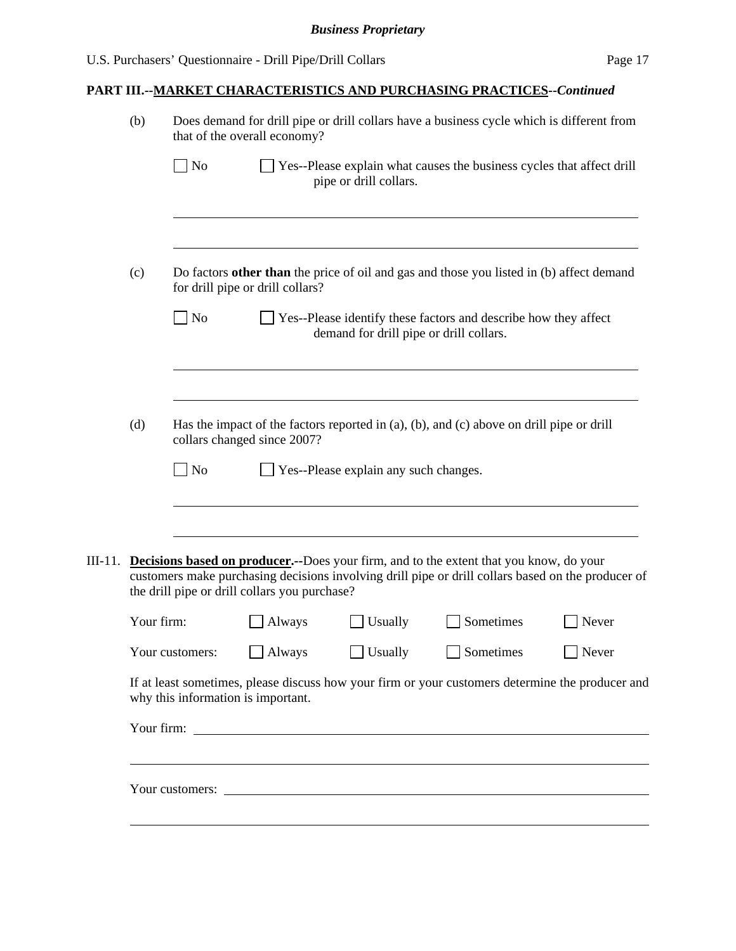# **PART III.--MARKET CHARACTERISTICS AND PURCHASING PRACTICES***--Continued*

|         | (b)        |                                                                                                                         | that of the overall economy?                  | Does demand for drill pipe or drill collars have a business cycle which is different from |                                                                                                                                                                                                      |       |  |
|---------|------------|-------------------------------------------------------------------------------------------------------------------------|-----------------------------------------------|-------------------------------------------------------------------------------------------|------------------------------------------------------------------------------------------------------------------------------------------------------------------------------------------------------|-------|--|
|         |            | $\overline{\phantom{a}}$ No                                                                                             |                                               | pipe or drill collars.                                                                    | Yes--Please explain what causes the business cycles that affect drill                                                                                                                                |       |  |
|         |            |                                                                                                                         |                                               |                                                                                           |                                                                                                                                                                                                      |       |  |
|         | (c)        |                                                                                                                         | for drill pipe or drill collars?              |                                                                                           | Do factors other than the price of oil and gas and those you listed in (b) affect demand                                                                                                             |       |  |
|         |            | $\big $ No                                                                                                              |                                               | demand for drill pipe or drill collars.                                                   | Yes--Please identify these factors and describe how they affect                                                                                                                                      |       |  |
|         | (d)        |                                                                                                                         |                                               |                                                                                           |                                                                                                                                                                                                      |       |  |
|         |            | Has the impact of the factors reported in (a), (b), and (c) above on drill pipe or drill<br>collars changed since 2007? |                                               |                                                                                           |                                                                                                                                                                                                      |       |  |
|         |            | No                                                                                                                      |                                               | Yes--Please explain any such changes.                                                     |                                                                                                                                                                                                      |       |  |
|         |            |                                                                                                                         |                                               |                                                                                           |                                                                                                                                                                                                      |       |  |
| III-11. |            |                                                                                                                         | the drill pipe or drill collars you purchase? |                                                                                           | <b>Decisions based on producer.</b> --Does your firm, and to the extent that you know, do your<br>customers make purchasing decisions involving drill pipe or drill collars based on the producer of |       |  |
|         | Your firm: |                                                                                                                         | Always                                        | Usually                                                                                   | Sometimes                                                                                                                                                                                            | Never |  |
|         |            | Your customers:                                                                                                         | Always                                        | Usually                                                                                   | Sometimes                                                                                                                                                                                            | Never |  |
|         |            | why this information is important.                                                                                      |                                               |                                                                                           | If at least sometimes, please discuss how your firm or your customers determine the producer and                                                                                                     |       |  |
|         |            |                                                                                                                         |                                               |                                                                                           |                                                                                                                                                                                                      |       |  |
|         |            |                                                                                                                         |                                               |                                                                                           | Your customers: <u>New Your customers:</u>                                                                                                                                                           |       |  |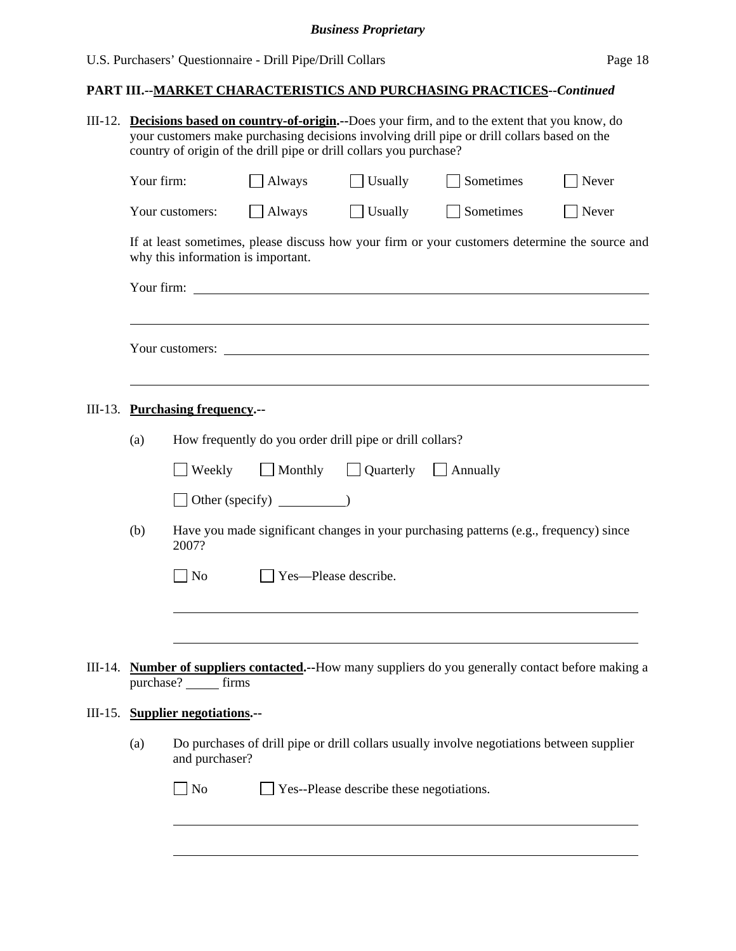# **PART III.--MARKET CHARACTERISTICS AND PURCHASING PRACTICES***--Continued*

|                                                                                                       |                                                | III-12. Decisions based on country-of-origin.--Does your firm, and to the extent that you know, do<br>your customers make purchasing decisions involving drill pipe or drill collars based on the<br>country of origin of the drill pipe or drill collars you purchase? |                                                          |                                          |                                                                                                     |                   |  |  |
|-------------------------------------------------------------------------------------------------------|------------------------------------------------|-------------------------------------------------------------------------------------------------------------------------------------------------------------------------------------------------------------------------------------------------------------------------|----------------------------------------------------------|------------------------------------------|-----------------------------------------------------------------------------------------------------|-------------------|--|--|
|                                                                                                       | Your firm:                                     |                                                                                                                                                                                                                                                                         | Always                                                   | Usually                                  | Sometimes                                                                                           | Never             |  |  |
|                                                                                                       |                                                | Your customers:                                                                                                                                                                                                                                                         | $\Box$ Always                                            | $\Box$ Usually                           | Sometimes                                                                                           | $\sqrt{\ }$ Never |  |  |
|                                                                                                       |                                                | why this information is important.                                                                                                                                                                                                                                      |                                                          |                                          | If at least sometimes, please discuss how your firm or your customers determine the source and      |                   |  |  |
|                                                                                                       |                                                |                                                                                                                                                                                                                                                                         |                                                          |                                          |                                                                                                     |                   |  |  |
|                                                                                                       |                                                |                                                                                                                                                                                                                                                                         |                                                          |                                          |                                                                                                     |                   |  |  |
|                                                                                                       |                                                | III-13. Purchasing frequency.--                                                                                                                                                                                                                                         |                                                          |                                          |                                                                                                     |                   |  |  |
|                                                                                                       | (a)                                            |                                                                                                                                                                                                                                                                         | How frequently do you order drill pipe or drill collars? |                                          |                                                                                                     |                   |  |  |
|                                                                                                       | Monthly Quarterly<br>Weekly<br>$\Box$ Annually |                                                                                                                                                                                                                                                                         |                                                          |                                          |                                                                                                     |                   |  |  |
|                                                                                                       |                                                |                                                                                                                                                                                                                                                                         |                                                          |                                          |                                                                                                     |                   |  |  |
| (b)<br>Have you made significant changes in your purchasing patterns (e.g., frequency) since<br>2007? |                                                |                                                                                                                                                                                                                                                                         |                                                          |                                          |                                                                                                     |                   |  |  |
|                                                                                                       | Yes-Please describe.<br>No                     |                                                                                                                                                                                                                                                                         |                                                          |                                          |                                                                                                     |                   |  |  |
|                                                                                                       |                                                |                                                                                                                                                                                                                                                                         |                                                          |                                          |                                                                                                     |                   |  |  |
|                                                                                                       |                                                | purchase?<br>firms                                                                                                                                                                                                                                                      |                                                          |                                          | III-14. Number of suppliers contacted.--How many suppliers do you generally contact before making a |                   |  |  |
|                                                                                                       |                                                | III-15. Supplier negotiations.--                                                                                                                                                                                                                                        |                                                          |                                          |                                                                                                     |                   |  |  |
|                                                                                                       | (a)                                            | and purchaser?                                                                                                                                                                                                                                                          |                                                          |                                          | Do purchases of drill pipe or drill collars usually involve negotiations between supplier           |                   |  |  |
|                                                                                                       |                                                | $\Box$ No                                                                                                                                                                                                                                                               |                                                          | Yes--Please describe these negotiations. |                                                                                                     |                   |  |  |
|                                                                                                       |                                                |                                                                                                                                                                                                                                                                         |                                                          |                                          |                                                                                                     |                   |  |  |
|                                                                                                       |                                                |                                                                                                                                                                                                                                                                         |                                                          |                                          |                                                                                                     |                   |  |  |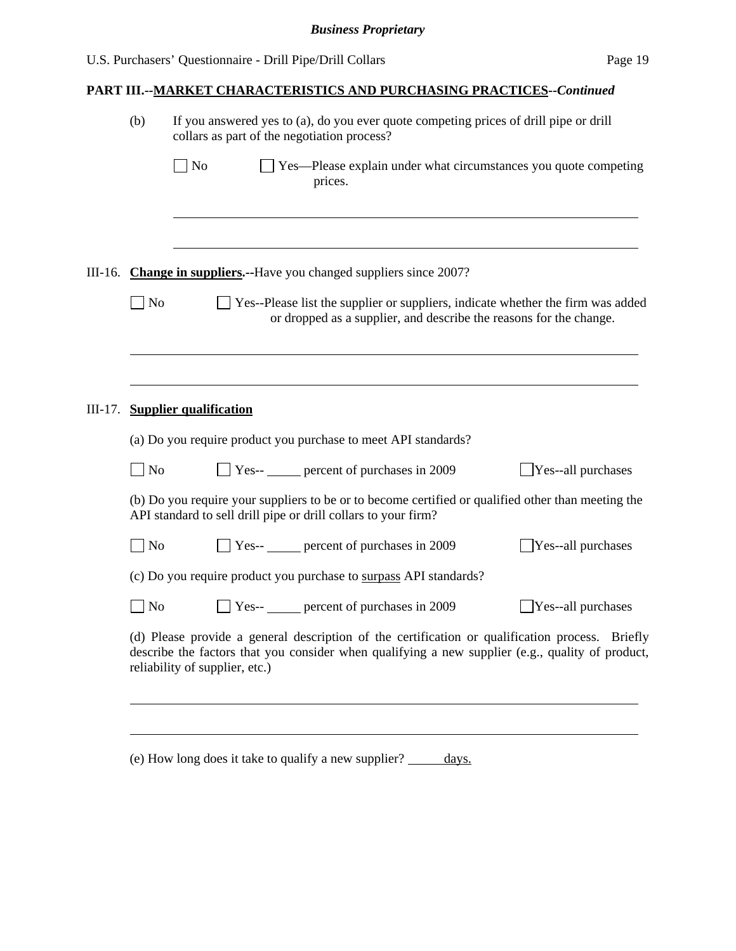## **PART III.--MARKET CHARACTERISTICS AND PURCHASING PRACTICES***--Continued*

|         | (b)                                                                                                                                                                                                                                   | If you answered yes to (a), do you ever quote competing prices of drill pipe or drill<br>collars as part of the negotiation process?                                 |  |  |  |  |  |  |
|---------|---------------------------------------------------------------------------------------------------------------------------------------------------------------------------------------------------------------------------------------|----------------------------------------------------------------------------------------------------------------------------------------------------------------------|--|--|--|--|--|--|
|         |                                                                                                                                                                                                                                       | $\Box$ No<br>Yes—Please explain under what circumstances you quote competing<br>prices.                                                                              |  |  |  |  |  |  |
|         |                                                                                                                                                                                                                                       |                                                                                                                                                                      |  |  |  |  |  |  |
|         |                                                                                                                                                                                                                                       | III-16. Change in suppliers.--Have you changed suppliers since 2007?                                                                                                 |  |  |  |  |  |  |
|         | $\log$                                                                                                                                                                                                                                | Yes--Please list the supplier or suppliers, indicate whether the firm was added<br>or dropped as a supplier, and describe the reasons for the change.                |  |  |  |  |  |  |
|         |                                                                                                                                                                                                                                       |                                                                                                                                                                      |  |  |  |  |  |  |
| III-17. |                                                                                                                                                                                                                                       | <b>Supplier qualification</b>                                                                                                                                        |  |  |  |  |  |  |
|         |                                                                                                                                                                                                                                       | (a) Do you require product you purchase to meet API standards?                                                                                                       |  |  |  |  |  |  |
|         | $\exists$ No                                                                                                                                                                                                                          | Yes-- percent of purchases in 2009<br>Yes--all purchases                                                                                                             |  |  |  |  |  |  |
|         |                                                                                                                                                                                                                                       | (b) Do you require your suppliers to be or to become certified or qualified other than meeting the<br>API standard to sell drill pipe or drill collars to your firm? |  |  |  |  |  |  |
|         | $\Box$ No                                                                                                                                                                                                                             | $\Box$ Yes-- $\Box$ percent of purchases in 2009<br>$\exists$ Yes--all purchases                                                                                     |  |  |  |  |  |  |
|         |                                                                                                                                                                                                                                       | (c) Do you require product you purchase to surpass API standards?                                                                                                    |  |  |  |  |  |  |
|         | $\Box$ No                                                                                                                                                                                                                             | Yes-- percent of purchases in 2009<br>Yes--all purchases                                                                                                             |  |  |  |  |  |  |
|         | (d) Please provide a general description of the certification or qualification process. Briefly<br>describe the factors that you consider when qualifying a new supplier (e.g., quality of product,<br>reliability of supplier, etc.) |                                                                                                                                                                      |  |  |  |  |  |  |
|         |                                                                                                                                                                                                                                       |                                                                                                                                                                      |  |  |  |  |  |  |

(e) How long does it take to qualify a new supplier? \_\_\_\_\_ days.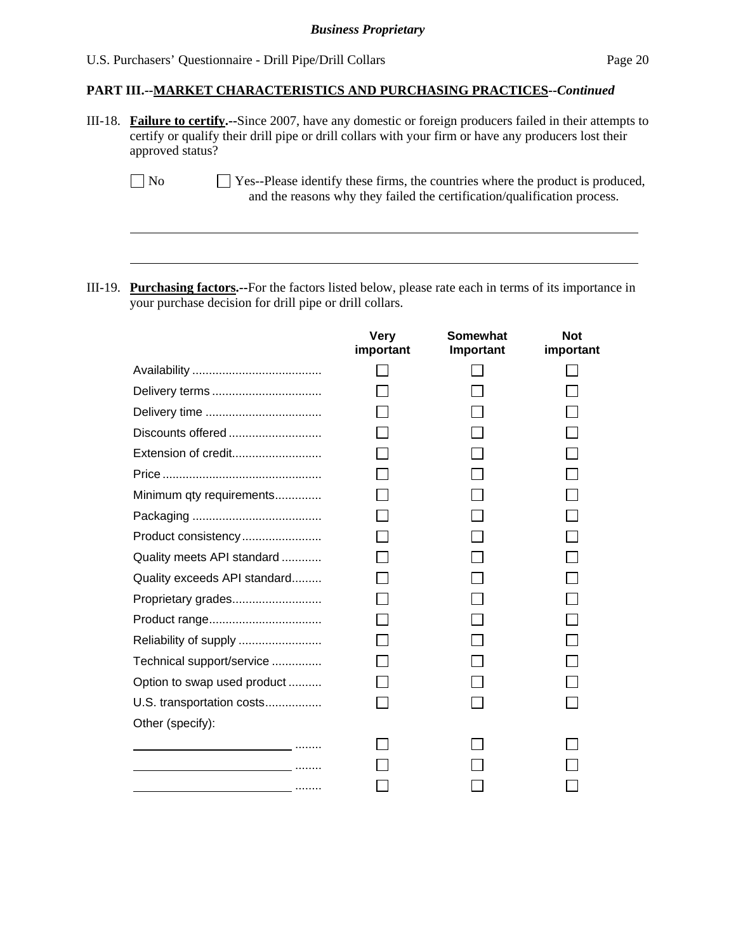# **PART III.--MARKET CHARACTERISTICS AND PURCHASING PRACTICES***--Continued*

|         | III-18. Failure to certify.--Since 2007, have any domestic or foreign producers failed in their attempts to<br>certify or qualify their drill pipe or drill collars with your firm or have any producers lost their<br>approved status? |                          |                              |                                                                                                                                                            |  |  |  |
|---------|-----------------------------------------------------------------------------------------------------------------------------------------------------------------------------------------------------------------------------------------|--------------------------|------------------------------|------------------------------------------------------------------------------------------------------------------------------------------------------------|--|--|--|
|         | $\Box$ No                                                                                                                                                                                                                               |                          |                              | Yes--Please identify these firms, the countries where the product is produced,<br>and the reasons why they failed the certification/qualification process. |  |  |  |
|         |                                                                                                                                                                                                                                         |                          |                              |                                                                                                                                                            |  |  |  |
| III-19. | <b>Purchasing factors.</b> --For the factors listed below, please rate each in terms of its importance in                                                                                                                               |                          |                              |                                                                                                                                                            |  |  |  |
|         | your purchase decision for drill pipe or drill collars.                                                                                                                                                                                 |                          |                              |                                                                                                                                                            |  |  |  |
|         |                                                                                                                                                                                                                                         | <b>Very</b><br>important | <b>Somewhat</b><br>Important | <b>Not</b><br>important                                                                                                                                    |  |  |  |
|         |                                                                                                                                                                                                                                         |                          |                              |                                                                                                                                                            |  |  |  |
|         |                                                                                                                                                                                                                                         |                          |                              |                                                                                                                                                            |  |  |  |
|         |                                                                                                                                                                                                                                         |                          |                              |                                                                                                                                                            |  |  |  |
|         | Discounts offered                                                                                                                                                                                                                       |                          |                              |                                                                                                                                                            |  |  |  |
|         |                                                                                                                                                                                                                                         |                          |                              |                                                                                                                                                            |  |  |  |
|         |                                                                                                                                                                                                                                         |                          |                              |                                                                                                                                                            |  |  |  |
|         | Minimum qty requirements                                                                                                                                                                                                                |                          |                              |                                                                                                                                                            |  |  |  |
|         |                                                                                                                                                                                                                                         |                          |                              |                                                                                                                                                            |  |  |  |
|         | Product consistency                                                                                                                                                                                                                     |                          |                              |                                                                                                                                                            |  |  |  |
|         | Quality meets API standard                                                                                                                                                                                                              |                          |                              |                                                                                                                                                            |  |  |  |
|         | Quality exceeds API standard                                                                                                                                                                                                            |                          |                              |                                                                                                                                                            |  |  |  |
|         | Proprietary grades                                                                                                                                                                                                                      |                          |                              |                                                                                                                                                            |  |  |  |
|         |                                                                                                                                                                                                                                         |                          |                              |                                                                                                                                                            |  |  |  |
|         | Reliability of supply                                                                                                                                                                                                                   |                          |                              |                                                                                                                                                            |  |  |  |
|         | Technical support/service                                                                                                                                                                                                               |                          |                              |                                                                                                                                                            |  |  |  |
|         | Option to swap used product                                                                                                                                                                                                             |                          |                              |                                                                                                                                                            |  |  |  |
|         | U.S. transportation costs                                                                                                                                                                                                               |                          |                              |                                                                                                                                                            |  |  |  |
|         | Other (specify):                                                                                                                                                                                                                        |                          |                              |                                                                                                                                                            |  |  |  |
|         |                                                                                                                                                                                                                                         |                          |                              |                                                                                                                                                            |  |  |  |
|         |                                                                                                                                                                                                                                         |                          |                              |                                                                                                                                                            |  |  |  |
|         |                                                                                                                                                                                                                                         |                          |                              |                                                                                                                                                            |  |  |  |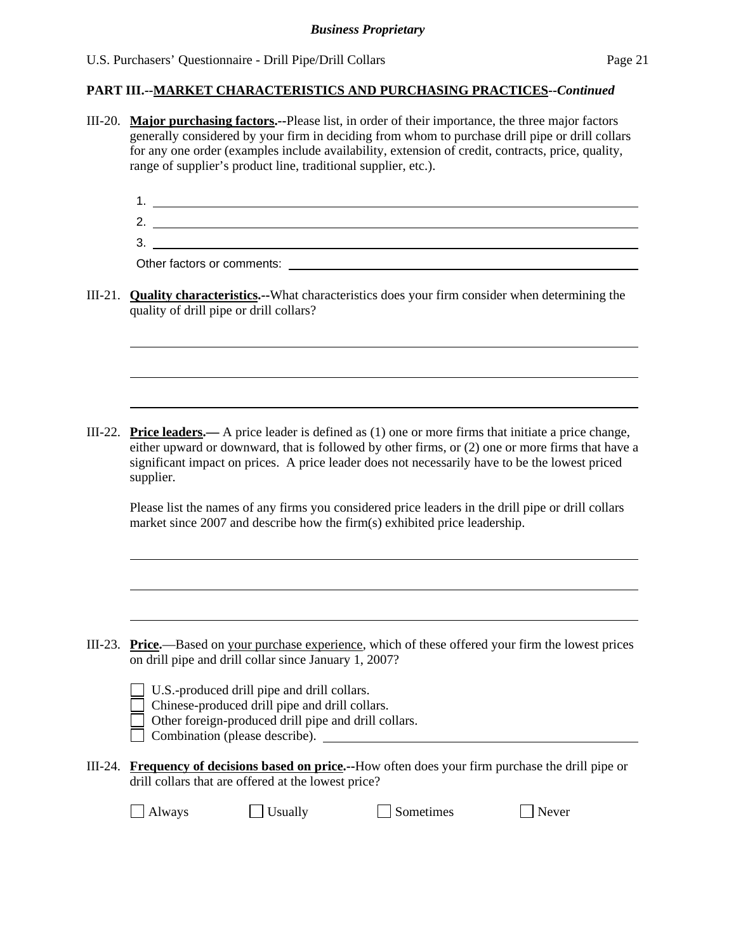### **PART III.--MARKET CHARACTERISTICS AND PURCHASING PRACTICES***--Continued*

- III-20. **Major purchasing factors.--**Please list, in order of their importance, the three major factors generally considered by your firm in deciding from whom to purchase drill pipe or drill collars for any one order (examples include availability, extension of credit, contracts, price, quality, range of supplier's product line, traditional supplier, etc.).
	- 1. 2.
	- 3.

Other factors or comments:

l

l

III-21. **Quality characteristics.--**What characteristics does your firm consider when determining the quality of drill pipe or drill collars?

III-22. **Price leaders.—** A price leader is defined as (1) one or more firms that initiate a price change, either upward or downward, that is followed by other firms, or (2) one or more firms that have a significant impact on prices. A price leader does not necessarily have to be the lowest priced supplier.

Please list the names of any firms you considered price leaders in the drill pipe or drill collars market since 2007 and describe how the firm(s) exhibited price leadership.

III-23. **Price.**—Based on your purchase experience, which of these offered your firm the lowest prices on drill pipe and drill collar since January 1, 2007?

| U.S.-produced drill pipe and drill collars. |  |
|---------------------------------------------|--|
|---------------------------------------------|--|

- Chinese-produced drill pipe and drill collars.
- Other foreign-produced drill pipe and drill collars.

Combination (please describe).

III-24. **Frequency of decisions based on price.--**How often does your firm purchase the drill pipe or drill collars that are offered at the lowest price?

| <b>Always</b> |  |  |  |
|---------------|--|--|--|
|---------------|--|--|--|

 $\Box$  Usually  $\Box$  Sometimes  $\Box$  Never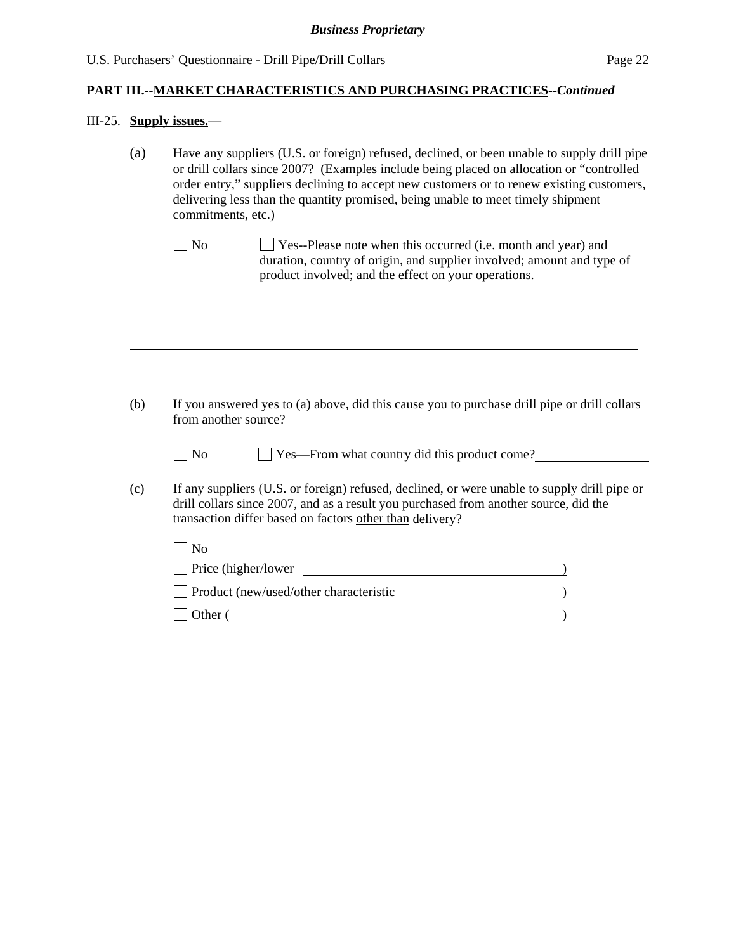# III-25. **Supply issues.**—

| (a) | Have any suppliers (U.S. or foreign) refused, declined, or been unable to supply drill pipe<br>or drill collars since 2007? (Examples include being placed on allocation or "controlled<br>order entry," suppliers declining to accept new customers or to renew existing customers,<br>delivering less than the quantity promised, being unable to meet timely shipment<br>commitments, etc.) |  |  |  |  |  |
|-----|------------------------------------------------------------------------------------------------------------------------------------------------------------------------------------------------------------------------------------------------------------------------------------------------------------------------------------------------------------------------------------------------|--|--|--|--|--|
|     | $\Box$ No<br>Yes--Please note when this occurred (i.e. month and year) and<br>duration, country of origin, and supplier involved; amount and type of<br>product involved; and the effect on your operations.                                                                                                                                                                                   |  |  |  |  |  |
|     |                                                                                                                                                                                                                                                                                                                                                                                                |  |  |  |  |  |
| (b) | If you answered yes to (a) above, did this cause you to purchase drill pipe or drill collars<br>from another source?                                                                                                                                                                                                                                                                           |  |  |  |  |  |
|     | No<br>Yes—From what country did this product come?                                                                                                                                                                                                                                                                                                                                             |  |  |  |  |  |
| (c) | If any suppliers (U.S. or foreign) refused, declined, or were unable to supply drill pipe or<br>drill collars since 2007, and as a result you purchased from another source, did the<br>transaction differ based on factors other than delivery?                                                                                                                                               |  |  |  |  |  |
|     | $\neg$ No                                                                                                                                                                                                                                                                                                                                                                                      |  |  |  |  |  |
|     |                                                                                                                                                                                                                                                                                                                                                                                                |  |  |  |  |  |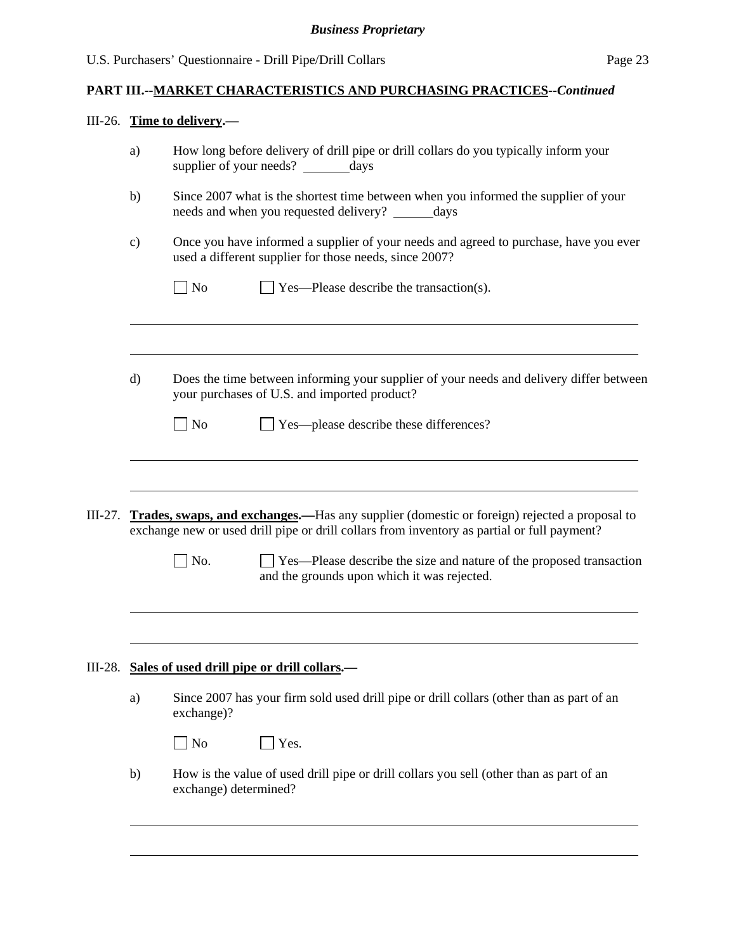# **PART III.--MARKET CHARACTERISTICS AND PURCHASING PRACTICES***--Continued*

# III-26. **Time to delivery.—**

| a)            |                             | How long before delivery of drill pipe or drill collars do you typically inform your<br>supplier of your needs? _________days                                                                                                                                                                                            |
|---------------|-----------------------------|--------------------------------------------------------------------------------------------------------------------------------------------------------------------------------------------------------------------------------------------------------------------------------------------------------------------------|
| b)            |                             | Since 2007 what is the shortest time between when you informed the supplier of your<br>needs and when you requested delivery?<br>days                                                                                                                                                                                    |
| $\mathbf{c})$ |                             | Once you have informed a supplier of your needs and agreed to purchase, have you ever<br>used a different supplier for those needs, since 2007?                                                                                                                                                                          |
|               | $\overline{\phantom{a}}$ No | Yes—Please describe the transaction(s).                                                                                                                                                                                                                                                                                  |
|               |                             |                                                                                                                                                                                                                                                                                                                          |
| $\mathbf{d}$  |                             | Does the time between informing your supplier of your needs and delivery differ between<br>your purchases of U.S. and imported product?                                                                                                                                                                                  |
|               |                             |                                                                                                                                                                                                                                                                                                                          |
|               | No                          | Yes—please describe these differences?                                                                                                                                                                                                                                                                                   |
| III-27.       | $\vert$ No.                 | <b>Trades, swaps, and exchanges.</b> —Has any supplier (domestic or foreign) rejected a proposal to<br>exchange new or used drill pipe or drill collars from inventory as partial or full payment?<br>Yes—Please describe the size and nature of the proposed transaction<br>and the grounds upon which it was rejected. |
| III-28.       |                             | Sales of used drill pipe or drill collars.—                                                                                                                                                                                                                                                                              |
| a)            | exchange)?                  | Since 2007 has your firm sold used drill pipe or drill collars (other than as part of an                                                                                                                                                                                                                                 |
|               | N <sub>o</sub>              | Yes.                                                                                                                                                                                                                                                                                                                     |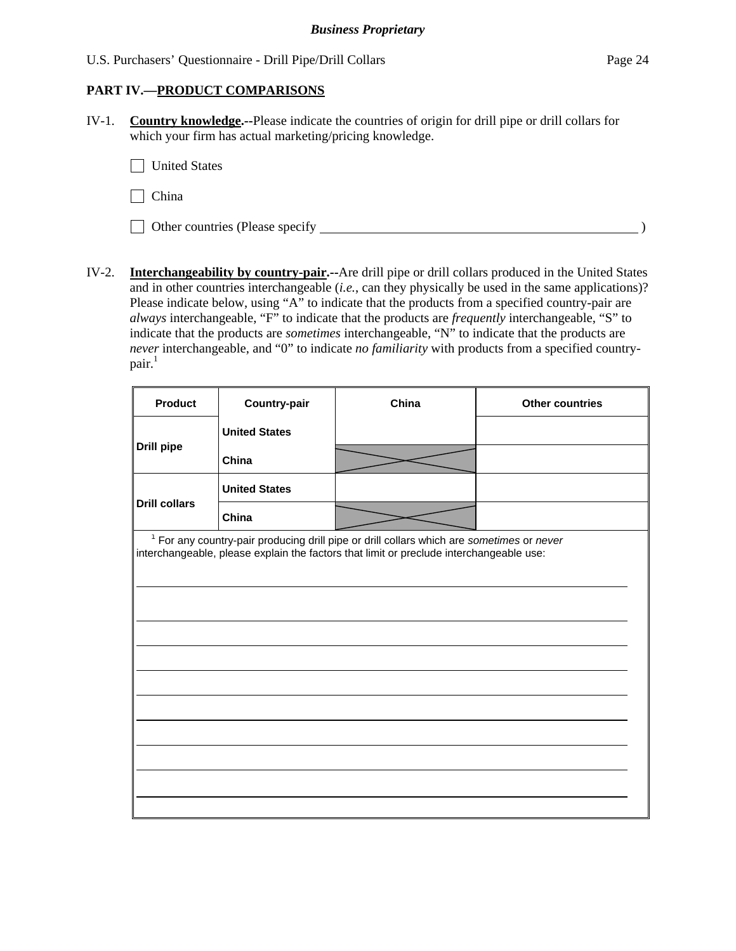## **PART IV.—PRODUCT COMPARISONS**

IV-1. **Country knowledge.--**Please indicate the countries of origin for drill pipe or drill collars for which your firm has actual marketing/pricing knowledge.

United States

 $\Box$  China

Other countries (Please specify  $\Box$ 

IV-2. **Interchangeability by country-pair.--**Are drill pipe or drill collars produced in the United States and in other countries interchangeable (*i.e.*, can they physically be used in the same applications)? Please indicate below, using "A" to indicate that the products from a specified country-pair are *always* interchangeable, "F" to indicate that the products are *frequently* interchangeable, "S" to indicate that the products are *sometimes* interchangeable, "N" to indicate that the products are *never* interchangeable, and "0" to indicate *no familiarity* with products from a specified country $pair.<sup>1</sup>$ 

| <b>Product</b>       | <b>Country-pair</b>  | China                                                                                                                                                                                           | <b>Other countries</b> |
|----------------------|----------------------|-------------------------------------------------------------------------------------------------------------------------------------------------------------------------------------------------|------------------------|
|                      | <b>United States</b> |                                                                                                                                                                                                 |                        |
| <b>Drill pipe</b>    | China                |                                                                                                                                                                                                 |                        |
|                      | <b>United States</b> |                                                                                                                                                                                                 |                        |
| <b>Drill collars</b> | China                |                                                                                                                                                                                                 |                        |
|                      |                      | <sup>1</sup> For any country-pair producing drill pipe or drill collars which are sometimes or never<br>interchangeable, please explain the factors that limit or preclude interchangeable use: |                        |
|                      |                      |                                                                                                                                                                                                 |                        |
|                      |                      |                                                                                                                                                                                                 |                        |
|                      |                      |                                                                                                                                                                                                 |                        |
|                      |                      |                                                                                                                                                                                                 |                        |
|                      |                      |                                                                                                                                                                                                 |                        |
|                      |                      |                                                                                                                                                                                                 |                        |
|                      |                      |                                                                                                                                                                                                 |                        |
|                      |                      |                                                                                                                                                                                                 |                        |
|                      |                      |                                                                                                                                                                                                 |                        |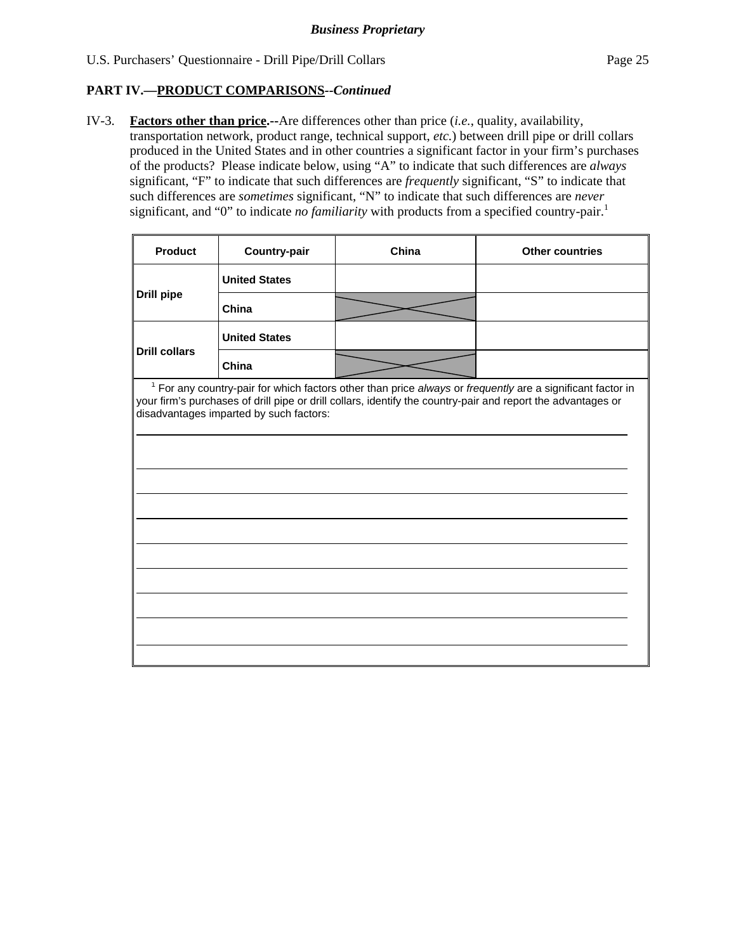## **PART IV.—PRODUCT COMPARISONS***--Continued*

 $\blacksquare$ 

IV-3. **Factors other than price.--**Are differences other than price (*i.e.*, quality, availability, transportation network, product range, technical support, *etc.*) between drill pipe or drill collars produced in the United States and in other countries a significant factor in your firm's purchases of the products? Please indicate below, using "A" to indicate that such differences are *always* significant, "F" to indicate that such differences are *frequently* significant, "S" to indicate that such differences are *sometimes* significant, "N" to indicate that such differences are *never* significant, and "0" to indicate *no familiarity* with products from a specified country-pair.<sup>1</sup>

| <b>Product</b>       | <b>Country-pair</b>                     | China | <b>Other countries</b>                                                                                                                                                                                                       |
|----------------------|-----------------------------------------|-------|------------------------------------------------------------------------------------------------------------------------------------------------------------------------------------------------------------------------------|
|                      | <b>United States</b>                    |       |                                                                                                                                                                                                                              |
| <b>Drill pipe</b>    | China                                   |       |                                                                                                                                                                                                                              |
|                      | <b>United States</b>                    |       |                                                                                                                                                                                                                              |
| <b>Drill collars</b> | China                                   |       |                                                                                                                                                                                                                              |
|                      | disadvantages imparted by such factors: |       | $1$ For any country-pair for which factors other than price always or frequently are a significant factor in<br>your firm's purchases of drill pipe or drill collars, identify the country-pair and report the advantages or |
|                      |                                         |       |                                                                                                                                                                                                                              |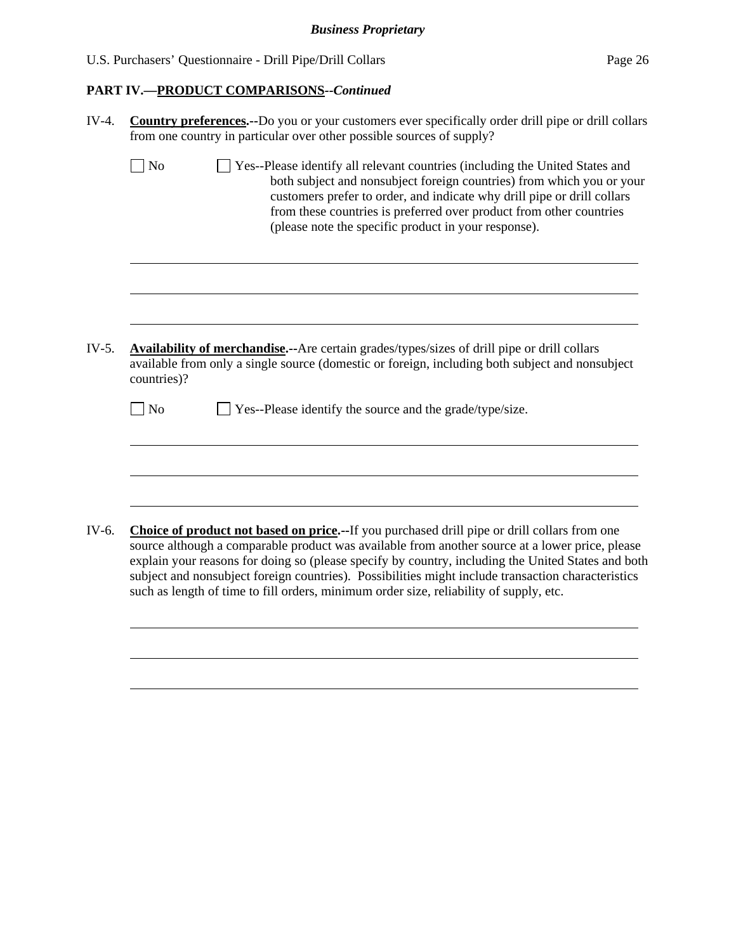| U.S. Purchasers' Questionnaire - Drill Pipe/Drill Collars | Page 26 |
|-----------------------------------------------------------|---------|
|-----------------------------------------------------------|---------|

| IV-4. | Country preferences.--Do you or your customers ever specifically order drill pipe or drill collars<br>from one country in particular over other possible sources of supply?                                                                                                                                                                                                                                                                                                                                   |  |  |  |  |  |  |  |
|-------|---------------------------------------------------------------------------------------------------------------------------------------------------------------------------------------------------------------------------------------------------------------------------------------------------------------------------------------------------------------------------------------------------------------------------------------------------------------------------------------------------------------|--|--|--|--|--|--|--|
|       | $\exists$ No<br>Ves--Please identify all relevant countries (including the United States and<br>both subject and nonsubject foreign countries) from which you or your<br>customers prefer to order, and indicate why drill pipe or drill collars<br>from these countries is preferred over product from other countries<br>(please note the specific product in your response).                                                                                                                               |  |  |  |  |  |  |  |
|       |                                                                                                                                                                                                                                                                                                                                                                                                                                                                                                               |  |  |  |  |  |  |  |
| IV-5. | Availability of merchandise.--Are certain grades/types/sizes of drill pipe or drill collars<br>available from only a single source (domestic or foreign, including both subject and nonsubject<br>countries)?                                                                                                                                                                                                                                                                                                 |  |  |  |  |  |  |  |
|       | ] No<br>Yes--Please identify the source and the grade/type/size.                                                                                                                                                                                                                                                                                                                                                                                                                                              |  |  |  |  |  |  |  |
|       |                                                                                                                                                                                                                                                                                                                                                                                                                                                                                                               |  |  |  |  |  |  |  |
| IV-6. | <b>Choice of product not based on price.</b> --If you purchased drill pipe or drill collars from one<br>source although a comparable product was available from another source at a lower price, please<br>explain your reasons for doing so (please specify by country, including the United States and both<br>subject and nonsubject foreign countries). Possibilities might include transaction characteristics<br>such as length of time to fill orders, minimum order size, reliability of supply, etc. |  |  |  |  |  |  |  |
|       |                                                                                                                                                                                                                                                                                                                                                                                                                                                                                                               |  |  |  |  |  |  |  |
|       |                                                                                                                                                                                                                                                                                                                                                                                                                                                                                                               |  |  |  |  |  |  |  |
|       |                                                                                                                                                                                                                                                                                                                                                                                                                                                                                                               |  |  |  |  |  |  |  |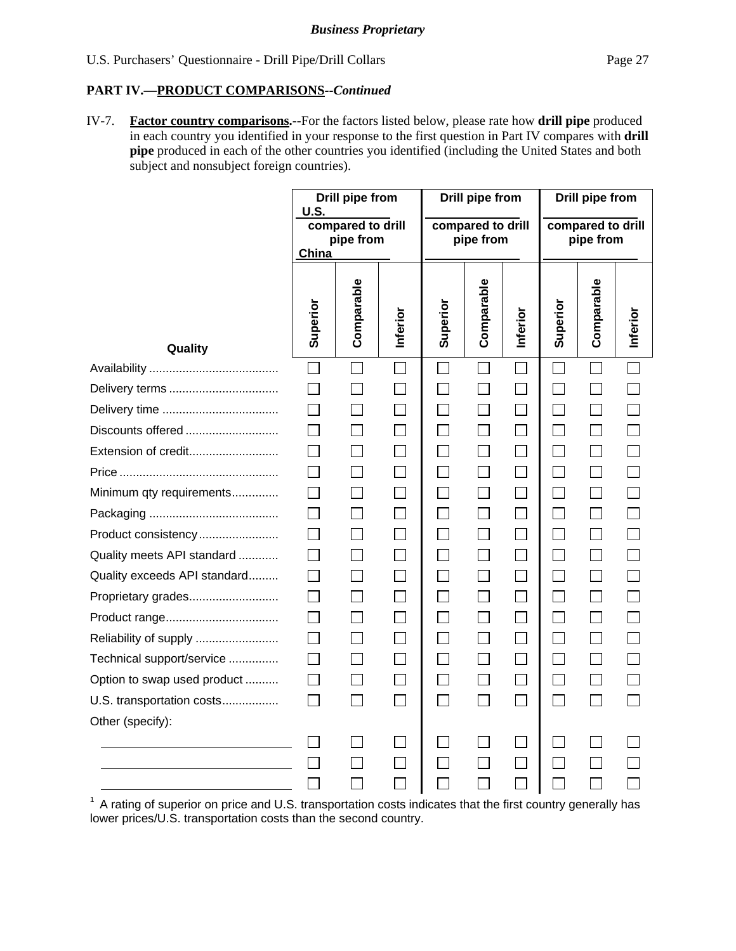IV-7. **Factor country comparisons.--**For the factors listed below, please rate how **drill pipe** produced in each country you identified in your response to the first question in Part IV compares with **drill pipe** produced in each of the other countries you identified (including the United States and both subject and nonsubject foreign countries).

|                                                                                                                      | <b>U.S.</b><br>China | <b>Drill pipe from</b><br>compared to drill<br>pipe from |                             | <b>Drill pipe from</b><br>compared to drill<br>pipe from |            | <b>Drill pipe from</b><br>compared to drill<br>pipe from |                             |                |          |
|----------------------------------------------------------------------------------------------------------------------|----------------------|----------------------------------------------------------|-----------------------------|----------------------------------------------------------|------------|----------------------------------------------------------|-----------------------------|----------------|----------|
| Quality                                                                                                              | Superior             | Comparable                                               | Inferior                    | Superior                                                 | Comparable | Inferior                                                 | Superior                    | Comparable     | Inferior |
|                                                                                                                      | $\Box$               | $\Box$                                                   |                             |                                                          |            |                                                          |                             |                |          |
| Delivery terms                                                                                                       | $\Box$               | $\overline{\phantom{0}}$                                 | $\sim$                      | П                                                        |            | Г                                                        |                             |                |          |
|                                                                                                                      | П                    | $\Box$                                                   | $\Box$                      | $\Box$                                                   |            | $\Box$                                                   |                             | $\Box$         |          |
| Discounts offered                                                                                                    | $\Box$               | $\Box$                                                   | П                           | П                                                        |            | $\Box$                                                   | $\sim$                      | $\Box$         |          |
| Extension of credit                                                                                                  | П                    | $\mathsf{L}$                                             | П                           | П                                                        |            | $\Box$                                                   | $\mathsf{L}$                | $\Box$         |          |
|                                                                                                                      | $\mathsf{L}$         | П                                                        | П                           | $\Box$                                                   |            | $\Box$                                                   | $\blacksquare$              | $\Box$         |          |
| Minimum qty requirements                                                                                             | П                    | $\Box$                                                   | $\Box$                      | $\Box$                                                   |            | $\Box$                                                   | $\sim$                      | $\Box$         |          |
|                                                                                                                      | $\Box$               | $\mathbf{L}$                                             | П                           | $\Box$                                                   |            | $\Box$                                                   |                             | П              |          |
| Product consistency                                                                                                  | П                    | $\mathbf{L}$                                             |                             | П                                                        |            | П                                                        |                             | $\Box$         |          |
| Quality meets API standard                                                                                           | П                    | $\Box$                                                   | $\Box$                      | $\Box$                                                   |            | $\Box$                                                   | $\mathcal{L}$               | $\Box$         |          |
| Quality exceeds API standard                                                                                         | $\Box$               | $\Box$                                                   | $\Box$                      | $\Box$                                                   |            | $\Box$                                                   | $\sim$                      | $\Box$         |          |
| Proprietary grades                                                                                                   | П                    | П                                                        | $\Box$                      | $\Box$                                                   |            | $\Box$                                                   | $\mathsf{L}$                | $\Box$         |          |
|                                                                                                                      | П                    | $\Box$                                                   | П                           | $\Box$                                                   |            | $\Box$                                                   | $\blacksquare$              | $\Box$         |          |
| Reliability of supply                                                                                                | П                    | $\Box$                                                   | $\Box$                      | $\Box$                                                   | $\Box$     | $\Box$                                                   | П                           | $\Box$         |          |
| Technical support/service                                                                                            | П                    | П                                                        | $\Box$                      | $\Box$                                                   |            | $\Box$                                                   | $\sim$                      | П              |          |
| Option to swap used product                                                                                          | П                    | $\mathbf{L}$                                             |                             | П                                                        |            | $\Box$                                                   | $\mathcal{L}_{\mathcal{A}}$ | $\Box$         |          |
| U.S. transportation costs                                                                                            | П                    | $\Box$                                                   | $\Box$                      | $\Box$                                                   |            | $\Box$                                                   | $\sim$                      | $\mathbf{L}$   |          |
| Other (specify):                                                                                                     |                      |                                                          |                             |                                                          |            |                                                          |                             |                |          |
| <u> 1980 - Johann Barn, mars ann an t-Amhain Aonaich an t-Aonaich an t-Aonaich ann an t-Aonaich ann an t-Aonaich</u> | $\mathsf{L}$         |                                                          |                             |                                                          |            |                                                          |                             |                |          |
|                                                                                                                      |                      | $\Box$                                                   |                             |                                                          |            |                                                          |                             |                |          |
|                                                                                                                      | $\Box$               |                                                          | $\mathcal{L}_{\mathcal{A}}$ |                                                          |            | $\Box$                                                   |                             | <b>College</b> |          |

 $1$  A rating of superior on price and U.S. transportation costs indicates that the first country generally has lower prices/U.S. transportation costs than the second country.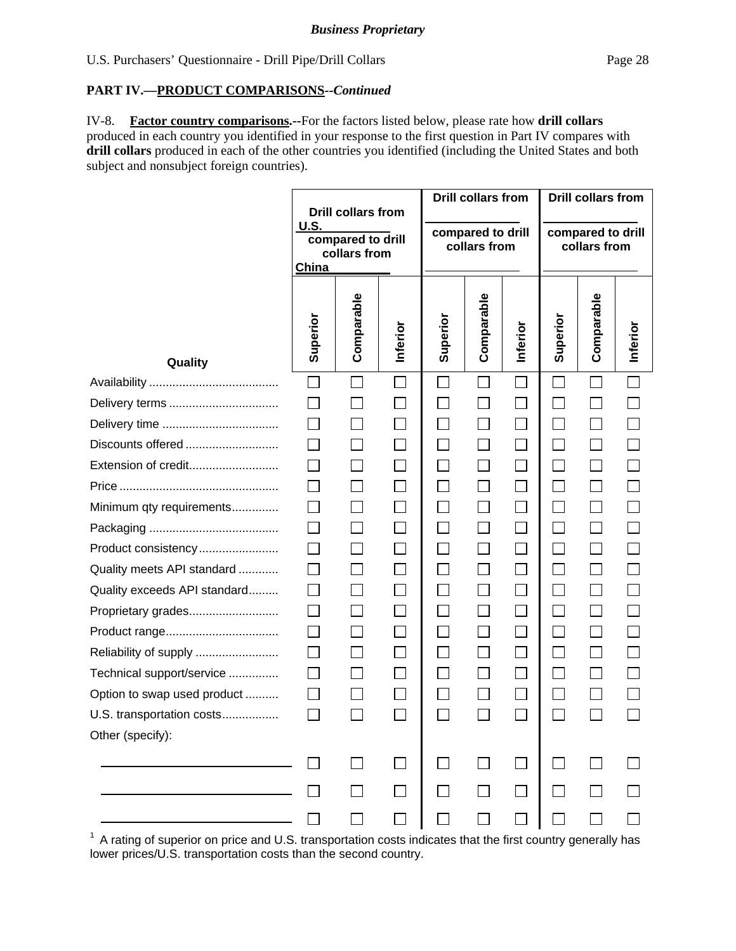IV-8. **Factor country comparisons.--**For the factors listed below, please rate how **drill collars** produced in each country you identified in your response to the first question in Part IV compares with **drill collars** produced in each of the other countries you identified (including the United States and both subject and nonsubject foreign countries).

|                              | U.S.<br>China               | <b>Drill collars from</b><br>compared to drill<br>collars from |                             | <b>Drill collars from</b><br>compared to drill<br>collars from |            | <b>Drill collars from</b><br>compared to drill<br>collars from |                |                          |          |
|------------------------------|-----------------------------|----------------------------------------------------------------|-----------------------------|----------------------------------------------------------------|------------|----------------------------------------------------------------|----------------|--------------------------|----------|
| Quality                      | Superior                    | Comparable                                                     | Inferior                    | Superior                                                       | Comparable | Inferior                                                       | Superior       | Comparable               | Inferior |
|                              | $\mathcal{L}_{\mathcal{A}}$ |                                                                | $\Box$                      |                                                                |            | $\Box$                                                         |                |                          |          |
|                              | $\sim$                      |                                                                |                             | $\sim$                                                         |            | $\Box$                                                         |                |                          |          |
|                              | $\Box$                      | $\overline{\phantom{a}}$                                       | $\Box$                      | $\Box$                                                         |            | $\Box$                                                         |                |                          |          |
| Discounts offered            | $\sim$                      |                                                                | $\mathcal{L}_{\mathcal{A}}$ | $\Box$                                                         |            | $\Box$                                                         | in 1           |                          |          |
| Extension of credit          | $\mathbb{R}^n$              |                                                                | $\Box$                      | $\Box$                                                         |            | $\Box$                                                         | $\mathbb{R}^n$ |                          |          |
|                              |                             |                                                                |                             | $\perp$                                                        |            | $\Box$                                                         | $\mathbf{L}$   |                          |          |
| Minimum qty requirements     | $\mathsf{L}$                |                                                                |                             | $\Box$                                                         |            | $\Box$                                                         |                |                          |          |
|                              | $\Box$                      |                                                                |                             | $\Box$                                                         |            | $\Box$                                                         | $\Box$         | $\Box$                   |          |
| Product consistency          |                             |                                                                |                             |                                                                |            | $\Box$                                                         |                |                          |          |
| Quality meets API standard   | $\Box$                      |                                                                | $\Box$                      | П                                                              |            | $\Box$                                                         | $\sim$         | $\overline{\phantom{a}}$ |          |
| Quality exceeds API standard | $\mathsf{L}$                |                                                                | $\mathbf{L}$                | $\mathsf{L}$                                                   |            | $\Box$                                                         |                |                          |          |
| Proprietary grades           | П                           | $\Box$                                                         | $\Box$                      | $\Box$                                                         |            | $\Box$                                                         | $\mathbb{R}^n$ | $\Box$                   |          |
|                              | $\Box$                      |                                                                | $\Box$                      | $\Box$                                                         |            | $\Box$                                                         |                |                          |          |
| Reliability of supply        | $\Box$                      | $\vert \ \ \vert$                                              | $\mathcal{L}_{\mathcal{A}}$ | $\Box$                                                         |            | $\Box$                                                         | H              | $\overline{\phantom{a}}$ |          |
| Technical support/service    | $\perp$                     |                                                                |                             | $\perp$                                                        |            | $\Box$                                                         |                |                          |          |
| Option to swap used product  |                             |                                                                |                             |                                                                |            | $\Box$                                                         |                |                          |          |
| U.S. transportation costs    |                             |                                                                |                             |                                                                |            | $\blacksquare$                                                 |                |                          |          |
| Other (specify):             |                             |                                                                |                             |                                                                |            |                                                                |                |                          |          |
|                              |                             |                                                                |                             |                                                                |            |                                                                |                |                          |          |
|                              |                             |                                                                | $\Box$                      |                                                                |            | П                                                              |                |                          |          |
|                              |                             |                                                                |                             |                                                                |            |                                                                |                |                          |          |

 $1$  A rating of superior on price and U.S. transportation costs indicates that the first country generally has lower prices/U.S. transportation costs than the second country.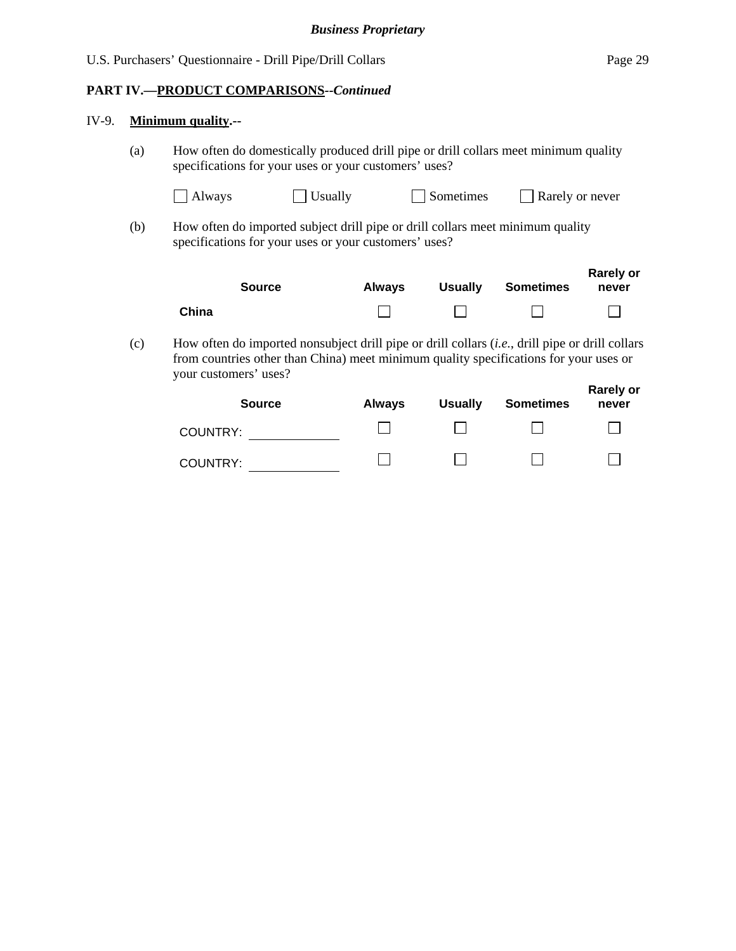#### IV-9. **Minimum quality.--**

 (a) How often do domestically produced drill pipe or drill collars meet minimum quality specifications for your uses or your customers' uses?

| $\Box$ Always  | $\Box$ Rarely or never |
|----------------|------------------------|
| $\Box$ Usually | $\Box$ Sometimes       |

(b) How often do imported subject drill pipe or drill collars meet minimum quality specifications for your uses or your customers' uses?

|       | <b>Source</b> | <b>Always</b> | <b>Usually</b> | Sometimes | <b>Rarely or</b><br>never |
|-------|---------------|---------------|----------------|-----------|---------------------------|
| China |               |               |                |           |                           |

(c) How often do imported nonsubject drill pipe or drill collars (*i.e.*, drill pipe or drill collars from countries other than China) meet minimum quality specifications for your uses or your customers' uses?

| <b>Source</b> | <b>Always</b> | <b>Usually</b> | <b>Sometimes</b> | <b>Rarely or</b><br>never |
|---------------|---------------|----------------|------------------|---------------------------|
| COUNTRY:      |               |                |                  |                           |
| COUNTRY:      |               |                |                  |                           |